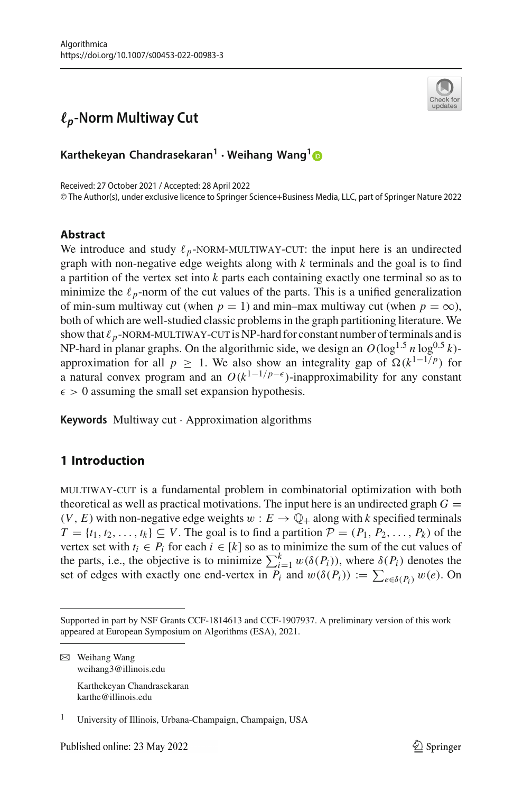

# *-p***-Norm Multiway Cut**

**Karthekeyan Chandrasekaran<sup>1</sup> · Weihang Wang[1](http://orcid.org/0000-0002-0628-5532)**

Received: 27 October 2021 / Accepted: 28 April 2022 © The Author(s), under exclusive licence to Springer Science+Business Media, LLC, part of Springer Nature 2022

### **Abstract**

We introduce and study  $\ell_p$ -NORM-MULTIWAY-CUT: the input here is an undirected<br>graph with non-negative edge weights along with  $k$  terminals and the goal is to find graph with non-negative edge weights along with *k* terminals and the goal is to find a partition of the vertex set into *k* parts each containing exactly one terminal so as to minimize the  $\ell_p$ -norm of the cut values of the parts. This is a unified generalization of min-sum multiway cut (when  $p = 1$ ) and min–max multiway cut (when  $p = \infty$ ), both of which are well-studied classic problems in the graph partitioning literature. We show that  $\ell_p$ -NORM-MULTIWAY-CUT is NP-hard for constant number of terminals and is show that  $\ell_p$ -NORM-MULTIWAY-CUT is NP-hard for constant number of terminals and is<br>NP-hard in planar graphs. On the algorithmic side, we design an  $O(\log^{1.5} n \log^{0.5} k)$ approximation for all  $p \ge 1$ . We also show an integrality gap of  $\Omega(k^{1-1/p})$  for a natural convex program and an  $O(k^{1-1/p-\epsilon})$ -inapproximability for any constant  $\epsilon > 0$  assuming the small set expansion hypothesis.

**Keywords** Multiway cut · Approximation algorithms

# **1 Introduction**

multiway-cut is a fundamental problem in combinatorial optimization with both theoretical as well as practical motivations. The input here is an undirected graph  $G =$  $(V, E)$  with non-negative edge weights  $w : E \to \mathbb{Q}_+$  along with *k* specified terminals  $T = \{t_1, t_2, \ldots, t_k\} \subseteq V$ . The goal is to find a partition  $\mathcal{P} = (P_1, P_2, \ldots, P_k)$  of the vertex set with  $t_i \in P_i$  for each  $i \in [k]$  so as to minimize the sum of the cut values of the parts, i.e., the objective is to minimize  $\sum_{i=1}^{k} w(\delta(P_i))$ , where  $\delta(P_i)$  denotes the set of edges with exactly one end-vertex in  $P_i$  and  $w(\delta(P_i)) := \sum_{e \in \delta(P_i)} w(e)$ . On

 $\boxtimes$  Weihang Wang weihang3@illinois.edu

> Karthekeyan Chandrasekaran karthe@illinois.edu

<sup>1</sup> University of Illinois, Urbana-Champaign, Champaign, USA

Supported in part by NSF Grants CCF-1814613 and CCF-1907937. A preliminary version of this work appeared at European Symposium on Algorithms (ESA), 2021.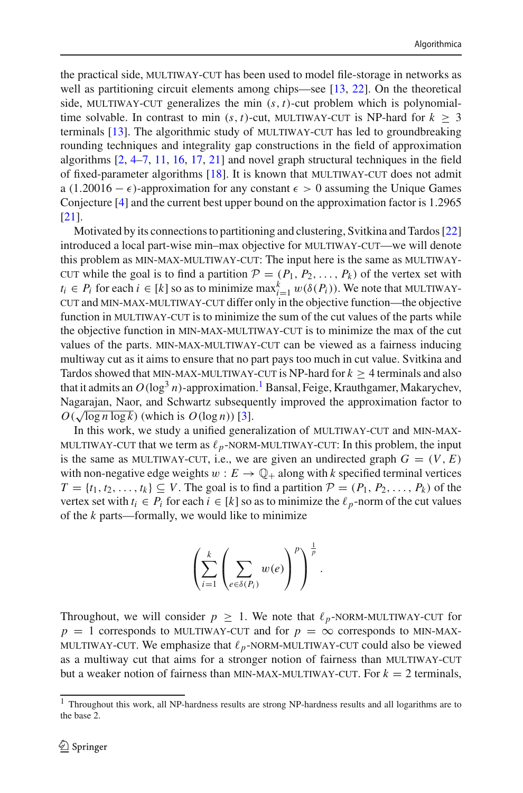the practical side, MULTIWAY-CUT has been used to model file-storage in networks as well as partitioning circuit elements among chips—see [\[13](#page-34-0), [22](#page-34-1)]. On the theoretical side, MULTIWAY-CUT generalizes the min  $(s, t)$ -cut problem which is polynomialtime solvable. In contrast to min  $(s, t)$ -cut, MULTIWAY-CUT is NP-hard for  $k > 3$ terminals  $[13]$  $[13]$ . The algorithmic study of MULTIWAY-CUT has led to groundbreaking rounding techniques and integrality gap constructions in the field of approximation algorithms  $[2, 4-7, 11, 16, 17, 21]$  $[2, 4-7, 11, 16, 17, 21]$  $[2, 4-7, 11, 16, 17, 21]$  $[2, 4-7, 11, 16, 17, 21]$  $[2, 4-7, 11, 16, 17, 21]$  $[2, 4-7, 11, 16, 17, 21]$  $[2, 4-7, 11, 16, 17, 21]$  $[2, 4-7, 11, 16, 17, 21]$  $[2, 4-7, 11, 16, 17, 21]$  $[2, 4-7, 11, 16, 17, 21]$  $[2, 4-7, 11, 16, 17, 21]$  and novel graph structural techniques in the field of fixed-parameter algorithms  $[18]$ . It is known that MULTIWAY-CUT does not admit a (1.20016 –  $\epsilon$ )-approximation for any constant  $\epsilon > 0$  assuming the Unique Games Conjecture [\[4\]](#page-33-1) and the current best upper bound on the approximation factor is 1.2965 [\[21](#page-34-6)].

Motivated by its connections to partitioning and clustering, Svitkina and Tardos [\[22\]](#page-34-1) introduced a local part-wise min–max objective for MULTIWAY-CUT—we will denote this problem as MIN-MAX-MULTIWAY-CUT: The input here is the same as MULTIWAYcut while the goal is to find a partition  $P = (P_1, P_2, \ldots, P_k)$  of the vertex set with *t<sub>i</sub>* ∈ *P<sub>i</sub>* for each *i* ∈ [*k*] so as to minimize max<sup>*k*</sup><sub>*i*</sub>=1 w( $\delta(P_i)$ ). We note that MULTIWAY-<br>CUT and MIN-MAX-MULTIWAY-CUT differ only in the objective function—the objective cut and min-max-multiway-cut differ only in the objective function—the objective function in MULTIWAY-CUT is to minimize the sum of the cut values of the parts while the objective function in MIN-MAX-MULTIWAY-CUT is to minimize the max of the cut values of the parts. MIN-MAX-MULTIWAY-CUT can be viewed as a fairness inducing multiway cut as it aims to ensure that no part pays too much in cut value. Svitkina and Tardos showed that MIN-MAX-MULTIWAY-CUT is NP-hard for  $k \ge 4$  terminals and also that it admits an  $O(\log^3 n)$ -approximation.<sup>1</sup> Bansal, Feige, Krauthgamer, Makary[c](#page-1-0)hev, Nagarajan, Naor, and Schwartz subsequently improved the approximation factor to  $O(\sqrt{\log n \log k})$  (which is  $O(\log n)$ ) [\[3\]](#page-33-2).

In this work, we study a unified generalization of MULTIWAY-CUT and MIN-MAX-MULTIWAY-CUT that we term as  $\ell_p$ -NORM-MULTIWAY-CUT: In this problem, the input<br>is the same as MULTIWAY-CUT, i.e., we are given an undirected graph  $G - (V, F)$ is the same as MULTIWAY-CUT, i.e., we are given an undirected graph  $G = (V, E)$ with non-negative edge weights  $w : E \to \mathbb{Q}_+$  along with *k* specified terminal vertices  $T = \{t_1, t_2, \ldots, t_k\} \subseteq V$ . The goal is to find a partition  $\mathcal{P} = (P_1, P_2, \ldots, P_k)$  of the vertex set with  $t_i \in P_i$  for each  $i \in [k]$  so as to minimize the  $\ell_p$ -norm of the cut values of the *k* parts—formally, we would like to minimize

$$
\left(\sum_{i=1}^k\left(\sum_{e\in\delta(P_i)}w(e)\right)^p\right)^{\frac{1}{p}}.
$$

Throughout, we will consider  $p \ge 1$ . We note that  $\ell_p$ -NORM-MULTIWAY-CUT for  $p - 1$  corresponds to MIN-MAY $p = 1$  corresponds to MULTIWAY-CUT and for  $p = \infty$  corresponds to MIN-MAX-MULTIWAY-CUT. We emphasize that  $\ell_p$ -NORM-MULTIWAY-CUT could also be viewed<br>as a multiway cut that aims for a stronger notion of fairness than MULTIWAY-CUT as a multiway cut that aims for a stronger notion of fairness than MULTIWAY-CUT but a weaker notion of fairness than MIN-MAX-MULTIWAY-CUT. For  $k = 2$  terminals,

<span id="page-1-0"></span><sup>&</sup>lt;sup>1</sup> Throughout this work, all NP-hardness results are strong NP-hardness results and all logarithms are to the base 2.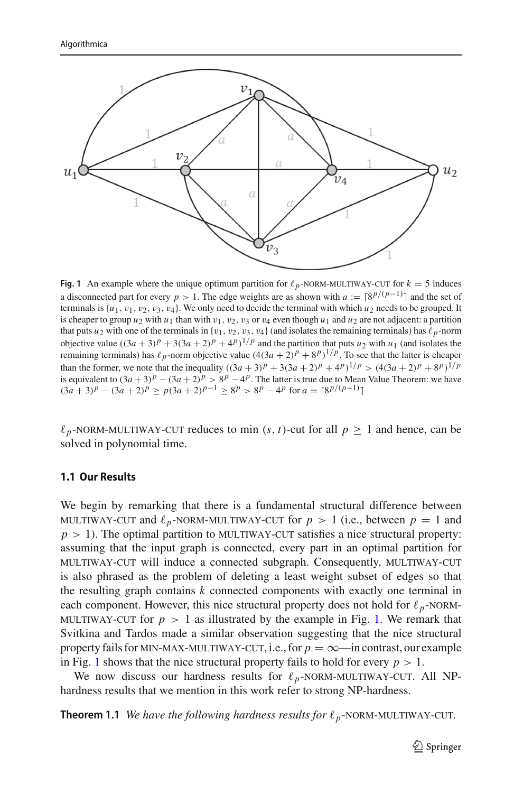

<span id="page-2-0"></span>**Fig. 1** An example where the unique optimum partition for  $\ell_p$ -NORM-MULTIWAY-CUT for  $k = 5$  induces a disconnected part for every *p* > 1. The edge weights are as shown with  $a := \lceil 8^{p/(p-1)} \rceil$  and the set of terminals is  $\{u_1, v_1, v_2, v_3, v_4\}$ . We only need to decide the terminal with which  $u_2$  needs to be grouped. It is cheaper to group  $u_2$  with  $u_1$  than with  $v_1$ ,  $v_2$ ,  $v_3$  or  $v_4$  even though  $u_1$  and  $u_2$  are not adjacent: a partition that puts  $u_2$  with one of the terminals in  $\{v_1, v_2, v_3, v_4\}$  (and isolates the remaining terminals) has  $\ell_p$ -norm objective value  $((3a + 3)^p + 3(3a + 2)^p + 4^p)^{1/p}$  and the partition that puts *u*<sub>2</sub> with *u*<sub>1</sub> (and isolates the remaining terminals) has  $\ell_p$ -norm objective value  $(4(3a+2)^p + 8^p)^{1/p}$ . To see that the latter is cheaper than the former, we note that the inequality  $((3a + 3)^p + 3(3a + 2)^p + 4^p)^{1/p} > (4(3a + 2)^p + 8^p)^{1/p}$ is equivalent to  $(3a+3)^p - (3a+2)^p > 8^p - 4^p$ . The latter is true due to Mean Value Theorem: we have  $(3a + 3)^p - (3a + 2)^p \ge p(3a + 2)^{p-1} \ge 8^p > 8^p - 4^p$  for  $a = \lceil 8^{p/(p-1)} \rceil$ 

 $\ell_p$ -NORM-MULTIWAY-CUT reduces to min  $(s, t)$ -cut for all  $p \ge 1$  and hence, can be solved in polynomial time solved in polynomial time.

#### **1.1 Our Results**

We begin by remarking that there is a fundamental structural difference between MULTIWAY-CUT and  $\ell_p$ -NORM-MULTIWAY-CUT for  $p > 1$  (i.e., between  $p = 1$  and  $p > 1$ ). The optimal partition to MII TIWAY-CUT satisfies a nice structural property:  $p > 1$ ). The optimal partition to MULTIWAY-CUT satisfies a nice structural property: assuming that the input graph is connected, every part in an optimal partition for multiway-cut will induce a connected subgraph. Consequently, multiway-cut is also phrased as the problem of deleting a least weight subset of edges so that the resulting graph contains *k* connected components with exactly one terminal in each component. However, this nice structural property does not hold for  $\ell_p$ -NORM-<br>MULTIWAY-CUT for  $p > 1$  as illustrated by the example in Fig. 1. We remark that MULTIWAY-CUT for  $p > 1$  as illustrated by the example in Fig. [1.](#page-2-0) We remark that Svitkina and Tardos made a similar observation suggesting that the nice structural property fails for MIN-MAX-MULTIWAY-CUT, i.e., for  $p = \infty$ —in contrast, our example in Fig. [1](#page-2-0) shows that the nice structural property fails to hold for every  $p > 1$ .

<span id="page-2-1"></span>We now discuss our hardness results for  $\ell_p$ -NORM-MULTIWAY-CUT. All NP-<br>class results that we mention in this work refer to strong NP-hardness hardness results that we mention in this work refer to strong NP-hardness.

**Theorem 1.1** *We have the following hardness results for*  $\ell_p$ -NORM-MULTIWAY-CUT.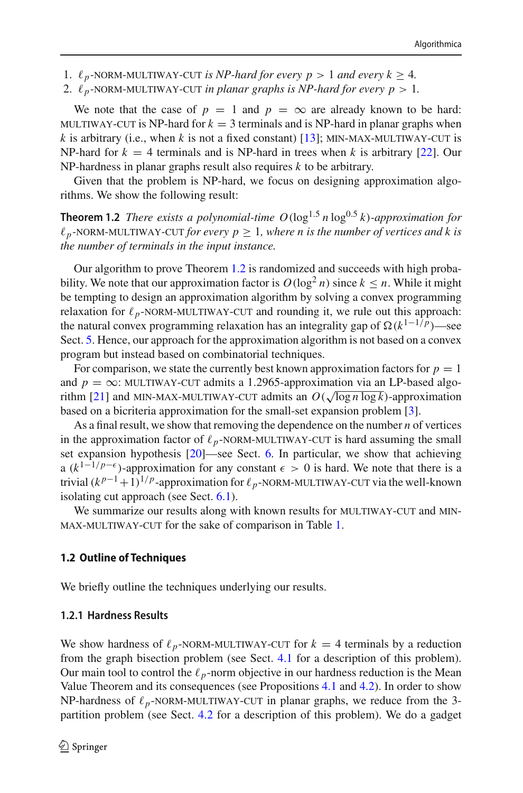- 1.  $\ell_p$ -NORM-MULTIWAY-CUT *is NP-hard for every p* > 1 *and every k* ≥ 4*.*<br>2.  $\ell_{\ell}$ -NORM-MULTIWAY-CUT *in planar graphs is NP-hard for every p* > 1
- 2.  $\ell_p$ -NORM-MULTIWAY-CUT *in planar graphs is NP-hard for every p* > 1*.*

We note that the case of  $p = 1$  and  $p = \infty$  are already known to be hard: MULTIWAY-CUT is NP-hard for  $k = 3$  terminals and is NP-hard in planar graphs when *k* is arbitrary (i.e., when *k* is not a fixed constant) [\[13](#page-34-0)]; MIN-MAX-MULTIWAY-CUT is NP-hard for  $k = 4$  terminals and is NP-hard in trees when k is arbitrary [\[22\]](#page-34-1). Our NP-hardness in planar graphs result also requires *k* to be arbitrary.

<span id="page-3-0"></span>Given that the problem is NP-hard, we focus on designing approximation algorithms. We show the following result:

**Theorem 1.2** *There exists a polynomial-time*  $O(\log^{1.5} n \log^{0.5} k)$ *-approximation for*  $\ell_p$ -NORM-MULTIWAY-CUT for every  $p \geq 1$ , where *n* is the number of vertices and k is<br>the number of terminals in the input instance *the number of terminals in the input instance.*

Our algorithm to prove Theorem [1.2](#page-3-0) is randomized and succeeds with high probability. We note that our approximation factor is  $O(\log^2 n)$  since  $k \le n$ . While it might be tempting to design an approximation algorithm by solving a convex programming relaxation for  $\ell_p$ -NORM-MULTIWAY-CUT and rounding it, we rule out this approach:<br>the natural convex programming relaxation has an integrality gan of  $\Omega(k^{1-1/p})$ —see the natural convex programming relaxation has an integrality gap of  $\Omega(k^{1-1/p})$ —see Sect. [5.](#page-28-0) Hence, our approach for the approximation algorithm is not based on a convex program but instead based on combinatorial techniques.

For comparison, we state the currently best known approximation factors for  $p = 1$ and  $p = \infty$ : MULTIWAY-CUT admits a 1.2965-approximation via an LP-based algo-rithm [\[21\]](#page-34-6) and MIN-MAX-MULTIWAY-CUT admits an  $O(\sqrt{\log n \log k})$ -approximation<br>hased on a bicriteria approximation for the small-set expansion problem [3] based on a bicriteria approximation for the small-set expansion problem [\[3](#page-33-2)].

As a final result, we show that removing the dependence on the number *n* of vertices in the approximation factor of  $\ell_p$ -NORM-MULTIWAY-CUT is hard assuming the small<br>set expansion hypothesis [20]—see Sect. 6. In particular, we show that achieving set expansion hypothesis [\[20\]](#page-34-8)—see Sect. [6.](#page-29-0) In particular, we show that achieving a ( $k^{1-1/p-\epsilon}$ )-approximation for any constant  $\epsilon > 0$  is hard. We note that there is a trivial  $(k^{p-1}+1)^{1/p}$ -approximation for  $\ell_p$ -NORM-MULTIWAY-CUT via the well-known<br>isolating cut approach (see Sect. 6.1) isolating cut approach (see Sect. [6.1\)](#page-32-0).

We summarize our results along with known results for MULTIWAY-CUT and MINmax-multiway-cut for the sake of comparison in Table [1.](#page-4-0)

#### **1.2 Outline of Techniques**

We briefly outline the techniques underlying our results.

#### **1.2.1 Hardness Results**

We show hardness of  $\ell_p$ -NORM-MULTIWAY-CUT for  $k = 4$  terminals by a reduction<br>from the graph bisection problem (see Sect 4.1 for a description of this problem) from the graph bisection problem (see Sect. [4.1](#page-17-0) for a description of this problem). Our main tool to control the  $\ell_p$ -norm objective in our hardness reduction is the Mean Value Theorem and its consequences (see Propositions [4.1](#page-17-1) and [4.2\)](#page-17-2). In order to show NP-hardness of  $\ell_p$ -NORM-MULTIWAY-CUT in planar graphs, we reduce from the 3-<br>partition problem (see Sect 4.2 for a description of this problem). We do a gadget partition problem (see Sect. [4.2](#page-22-0) for a description of this problem). We do a gadget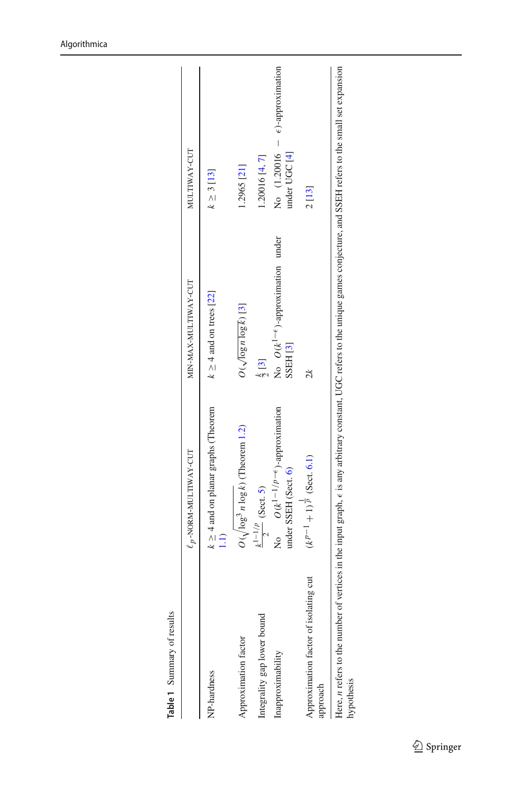|                                                   | $\ell_p$ -NORM-MULTIWAY-CUT                                       | MIN-MAX-MULTIWAY-CUT                                                                                                                                                                            | MULTIWAY-CUT                                              |
|---------------------------------------------------|-------------------------------------------------------------------|-------------------------------------------------------------------------------------------------------------------------------------------------------------------------------------------------|-----------------------------------------------------------|
| <b>NP-hardness</b>                                | $k \geq 4$ and on planar graphs (Theorem                          | $k \ge 4$ and on trees [22]                                                                                                                                                                     | $k \geq 3$ [13]                                           |
| Approximation factor                              | $O(\sqrt{\log^3 n \log k})$ (Theorem 1.2)                         | $O(\sqrt{\log n \log k})$ [3]                                                                                                                                                                   | 1.2965 [21]                                               |
| ntegrality gap lower bound                        | $rac{k^{1-1/p}}{2}$ (Sect. 5)                                     | $\frac{k}{2}$ [3]                                                                                                                                                                               | 1.20016 [4, 7]                                            |
| Inapproximability                                 | No $O(k^{1-1/p-\epsilon})$ -approximation<br>under SSEH (Sect. 6) | No $O(k^{1-\epsilon})$ -approximation under<br>SSEH <sub>[3]</sub>                                                                                                                              | No $(1.20016 - \epsilon)$ -approximation<br>under UGC [4] |
| Approximation factor of isolating cut<br>ipproach | $(k^{p-1}+1)^{\frac{1}{p}}$ (Sect. 6.1)                           | $\mathbb{R}$                                                                                                                                                                                    | 2[13]                                                     |
| rypothesis                                        |                                                                   | Here, <i>n</i> refers to the number of vertices in the input graph, $\epsilon$ is any arbitrary constant, UGC refers to the unique games conjecture, and SSEH refers to the small set expansion |                                                           |

<span id="page-4-0"></span>Table 1 Summary of results **Table 1** Summary of results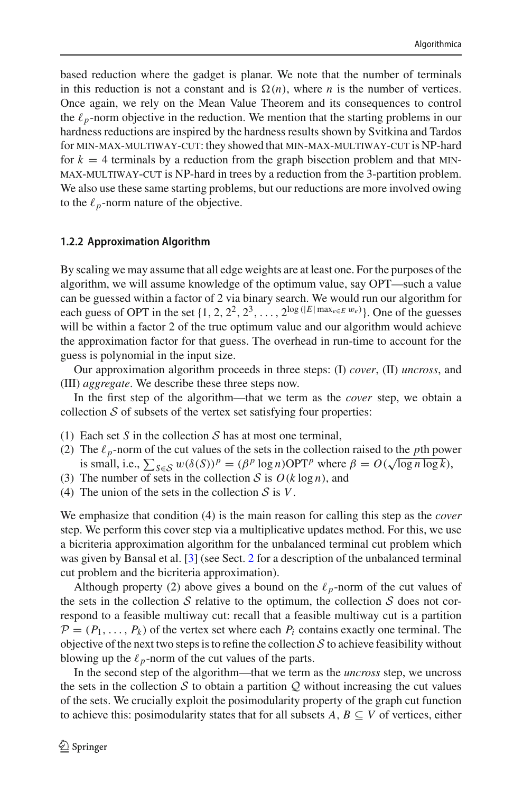based reduction where the gadget is planar. We note that the number of terminals in this reduction is not a constant and is  $\Omega(n)$ , where *n* is the number of vertices. Once again, we rely on the Mean Value Theorem and its consequences to control the  $\ell_p$ -norm objective in the reduction. We mention that the starting problems in our hardness reductions are inspired by the hardness results shown by Svitkina and Tardos for min-max-multiway-cut: they showed that min-max-multiway-cut is NP-hard for  $k = 4$  terminals by a reduction from the graph bisection problem and that MINmax-multiway-cut is NP-hard in trees by a reduction from the 3-partition problem. We also use these same starting problems, but our reductions are more involved owing to the  $\ell_p$ -norm nature of the objective.

#### **1.2.2 Approximation Algorithm**

By scaling we may assume that all edge weights are at least one. For the purposes of the algorithm, we will assume knowledge of the optimum value, say OPT—such a value can be guessed within a factor of 2 via binary search. We would run our algorithm for each guess of OPT in the set  $\{1, 2, 2^2, 2^3, \ldots, 2^{\log(|E| \max_{e \in E} w_e)}\}$ . One of the guesses will be within a factor 2 of the true optimum value and our algorithm would achieve the approximation factor for that guess. The overhead in run-time to account for the guess is polynomial in the input size.

Our approximation algorithm proceeds in three steps: (I) *cover*, (II) *uncross*, and (III) *aggregate*. We describe these three steps now.

In the first step of the algorithm—that we term as the *cover* step, we obtain a collection  $S$  of subsets of the vertex set satisfying four properties:

- (1) Each set *S* in the collection *S* has at most one terminal,
- (2) The  $\ell_p$ -norm of the cut values of the sets in the collection raised to the *p*th power is small, i.e.,  $\sum_{S \in \mathcal{S}} w(\delta(S))^p = (\beta^p \log n) \text{OPT}^p$  where  $\beta = O(\sqrt{\log n \log k})$ ,
- (3) The number of sets in the collection *S* is  $O(k \log n)$ , and
- (4) The union of the sets in the collection *S* is *V*.

We emphasize that condition (4) is the main reason for calling this step as the *cover* step. We perform this cover step via a multiplicative updates method. For this, we use a bicriteria approximation algorithm for the unbalanced terminal cut problem which was given by Bansal et al. [\[3](#page-33-2)] (see Sect. [2](#page-8-0) for a description of the unbalanced terminal cut problem and the bicriteria approximation).

Although property (2) above gives a bound on the  $\ell_p$ -norm of the cut values of the sets in the collection  $S$  relative to the optimum, the collection  $S$  does not correspond to a feasible multiway cut: recall that a feasible multiway cut is a partition  $P = (P_1, \ldots, P_k)$  of the vertex set where each  $P_i$  contains exactly one terminal. The objective of the next two steps is to refine the collection *S* to achieve feasibility without blowing up the  $\ell_p$ -norm of the cut values of the parts.

In the second step of the algorithm—that we term as the *uncross* step, we uncross the sets in the collection  $S$  to obtain a partition  $Q$  without increasing the cut values of the sets. We crucially exploit the posimodularity property of the graph cut function to achieve this: posimodularity states that for all subsets  $A, B \subseteq V$  of vertices, either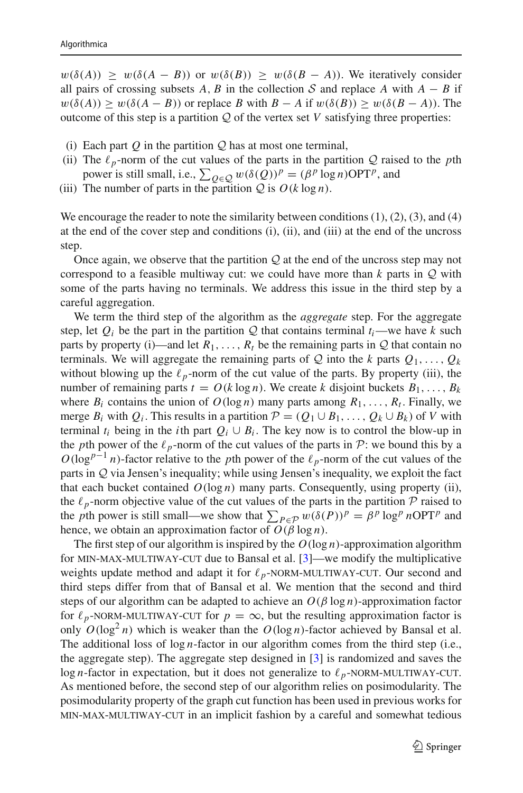$w(\delta(A)) \geq w(\delta(A - B))$  or  $w(\delta(B)) \geq w(\delta(B - A))$ . We iteratively consider all pairs of crossing subsets *A*, *B* in the collection *S* and replace *A* with  $A - B$  if  $w(\delta(A)) \geq w(\delta(A - B))$  or replace *B* with  $B - A$  if  $w(\delta(B)) \geq w(\delta(B - A))$ . The outcome of this step is a partition  $Q$  of the vertex set  $V$  satisfying three properties:

- (i) Each part *Q* in the partition *Q* has at most one terminal,
- (ii) The  $\ell_p$ -norm of the cut values of the parts in the partition *Q* raised to the *p*th power is still small, i.e.,  $\sum_{Q \in \mathcal{Q}} w(\delta(Q))^p = (\beta^p \log n) \text{OPT}^p$ , and
- (iii) The number of parts in the partition  $Q$  is  $O(k \log n)$ .

We encourage the reader to note the similarity between conditions  $(1)$ ,  $(2)$ ,  $(3)$ , and  $(4)$ at the end of the cover step and conditions (i), (ii), and (iii) at the end of the uncross step.

Once again, we observe that the partition *Q* at the end of the uncross step may not correspond to a feasible multiway cut: we could have more than *k* parts in *Q* with some of the parts having no terminals. We address this issue in the third step by a careful aggregation.

We term the third step of the algorithm as the *aggregate* step. For the aggregate step, let  $Q_i$  be the part in the partition  $Q$  that contains terminal  $t_i$ —we have  $k$  such parts by property (i)—and let  $R_1, \ldots, R_t$  be the remaining parts in  $Q$  that contain no terminals. We will aggregate the remaining parts of  $Q$  into the *k* parts  $Q_1, \ldots, Q_k$ without blowing up the  $\ell_p$ -norm of the cut value of the parts. By property (iii), the number of remaining parts  $t = O(k \log n)$ . We create *k* disjoint buckets  $B_1, \ldots, B_k$ where  $B_i$  contains the union of  $O(\log n)$  many parts among  $R_1, \ldots, R_t$ . Finally, we merge  $B_i$  with  $Q_i$ . This results in a partition  $\mathcal{P} = (Q_1 \cup B_1, \ldots, Q_k \cup B_k)$  of *V* with terminal  $t_i$  being in the *i*th part  $Q_i \cup B_i$ . The key now is to control the blow-up in the *p*th power of the  $\ell_p$ -norm of the cut values of the parts in *P*: we bound this by a  $O(\log^{p-1} n)$ -factor relative to the *p*th power of the  $\ell_p$ -norm of the cut values of the parts in *Q* via Jensen's inequality; while using Jensen's inequality, we exploit the fact that each bucket contained  $O(\log n)$  many parts. Consequently, using property (ii), the  $\ell_p$ -norm objective value of the cut values of the parts in the partition  $\mathcal P$  raised to the *p*th power is still small—we show that  $\sum_{P \in \mathcal{P}} w(\delta(P))^p = \beta^p \log^p n \text{OPT}^p$  and hence, we obtain an approximation factor of  $O(\beta \log n)$ .

The first step of our algorithm is inspired by the *O*(log *n*)-approximation algorithm for min-max-multiway-cut due to Bansal et al. [\[3](#page-33-2)]—we modify the multiplicative weights update method and adapt it for  $\ell_p$ -NORM-MULTIWAY-CUT. Our second and third<br>third steps differ from that of Bansal et al. We mention that the second and third third steps differ from that of Bansal et al. We mention that the second and third steps of our algorithm can be adapted to achieve an  $O(\beta \log n)$ -approximation factor for  $\ell_p$ -NORM-MULTIWAY-CUT for  $p = \infty$ , but the resulting approximation factor is<br>only  $O(\log^2 n)$  which is weaker than the  $O(\log n)$ -factor achieved by Bansal et al. only  $O(\log^2 n)$  which is weaker than the  $O(\log n)$ -factor achieved by Bansal et al. The additional loss of log *n*-factor in our algorithm comes from the third step (i.e., the aggregate step). The aggregate step designed in [\[3](#page-33-2)] is randomized and saves the log *n*-factor in expectation, but it does not generalize to  $\ell_p$ -NORM-MULTIWAY-CUT.<br>As mentioned before the second step of our algorithm relies on posimodularity. The As mentioned before, the second step of our algorithm relies on posimodularity. The posimodularity property of the graph cut function has been used in previous works for min-max-multiway-cut in an implicit fashion by a careful and somewhat tedious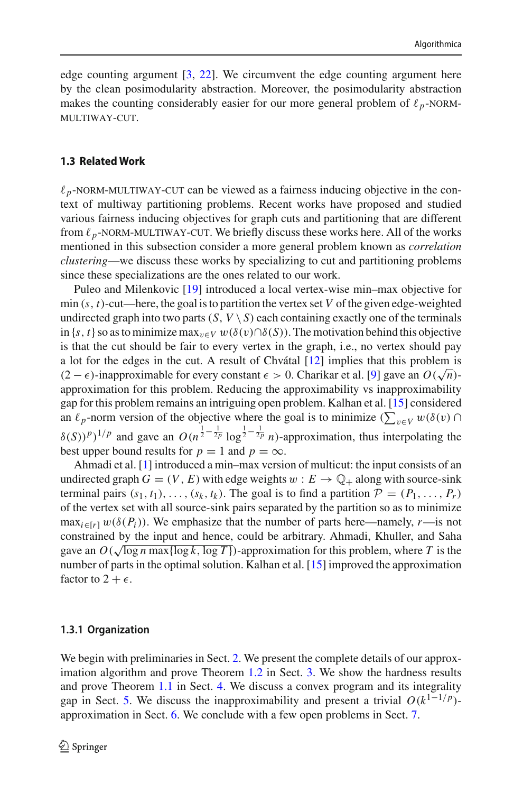edge counting argument [\[3](#page-33-2), [22\]](#page-34-1). We circumvent the edge counting argument here by the clean posimodularity abstraction. Moreover, the posimodularity abstraction makes the counting considerably easier for our more general problem of  $\ell_p$ -NORM-MH TIWAY-CUT multiway-cut.

#### **1.3 Related Work**

 $\ell_p$ -NORM-MULTIWAY-CUT can be viewed as a fairness inducing objective in the con-<br>text of multiway partitioning problems. Recent works have proposed and studied text of multiway partitioning problems. Recent works have proposed and studied various fairness inducing objectives for graph cuts and partitioning that are different from  $\ell_p$ -NORM-MULTIWAY-CUT. We briefly discuss these works here. All of the works<br>mentioned in this subsection consider a more general problem known as *correlation* mentioned in this subsection consider a more general problem known as *correlation clustering*—we discuss these works by specializing to cut and partitioning problems since these specializations are the ones related to our work.

Puleo and Milenkovic [\[19\]](#page-34-9) introduced a local vertex-wise min–max objective for min  $(s, t)$ -cut—here, the goal is to partition the vertex set *V* of the given edge-weighted undirected graph into two parts  $(S, V \setminus S)$  each containing exactly one of the terminals in  $\{s, t\}$  so as to minimize max<sub>v∈*V*</sub>  $w(\delta(v) \cap \delta(S))$ . The motivation behind this objective is that the cut should be fair to every vertex in the graph, i.e., no vertex should pay a lot for the edges in the cut. A result of Chvátal  $[12]$  $[12]$  implies that this problem is (2 −  $\epsilon$ )-inapproximable for every constant  $\epsilon > 0$ . Charikar et al. [\[9\]](#page-34-11) gave an  $O(\sqrt{n})$ approximation for this problem. Reducing the approximability vs inapproximability gap for this problem remains an intriguing open problem. Kalhan et al. [\[15\]](#page-34-12) considered an  $\ell_p$ -norm version of the objective where the goal is to minimize ( $\sum_{v \in V} w(\delta(v) \cap$  $\delta(S)$ <sup>*p*</sup>)<sup>1</sup>/*p* and gave an  $O(n^{\frac{1}{2} - \frac{1}{2p}} \log^{\frac{1}{2} - \frac{1}{2p}} n)$ -approximation, thus interpolating the best upper bound results for  $p = 1$  and  $p = \infty$ .

Ahmadi et al. [\[1\]](#page-33-3) introduced a min–max version of multicut: the input consists of an undirected graph  $G = (V, E)$  with edge weights  $w : E \to \mathbb{Q}_+$  along with source-sink terminal pairs  $(s_1, t_1), \ldots, (s_k, t_k)$ . The goal is to find a partition  $\mathcal{P} = (P_1, \ldots, P_r)$ of the vertex set with all source-sink pairs separated by the partition so as to minimize  $\max_{i \in [r]} w(\delta(P_i))$ . We emphasize that the number of parts here—namely, *r*—is not constrained by the input and hence, could be arbitrary. Ahmadi, Khuller, and Saha gave an  $O(\sqrt{\log n \max{\log k, \log T}})$ -approximation for this problem, where *T* is the number of parts in the optimal solution. Kalhan et al. [\[15](#page-34-12)] improved the approximation factor to  $2 + \epsilon$ .

#### **1.3.1 Organization**

We begin with preliminaries in Sect. [2.](#page-8-0) We present the complete details of our approximation algorithm and prove Theorem [1.2](#page-3-0) in Sect. [3.](#page-9-0) We show the hardness results and prove Theorem [1.1](#page-2-1) in Sect. [4.](#page-17-3) We discuss a convex program and its integrality gap in Sect. [5.](#page-28-0) We discuss the inapproximability and present a trivial  $O(k^{1-1/p})$ approximation in Sect. [6.](#page-29-0) We conclude with a few open problems in Sect. [7.](#page-33-4)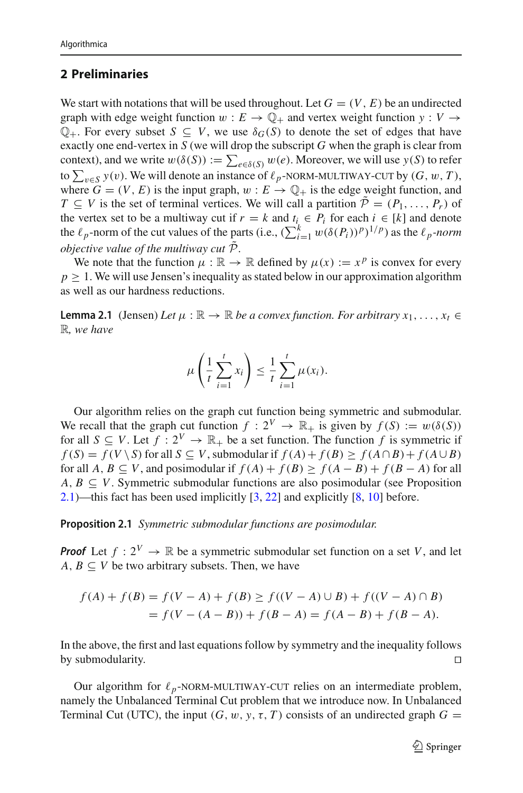# <span id="page-8-0"></span>**2 Preliminaries**

We start with notations that will be used throughout. Let  $G = (V, E)$  be an undirected graph with edge weight function  $w : E \to \mathbb{Q}_+$  and vertex weight function  $y : V \to$  $\mathbb{Q}_+$ . For every subset  $S \subseteq V$ , we use  $\delta_G(S)$  to denote the set of edges that have exactly one end-vertex in *S* (we will drop the subscript *G* when the graph is clear from context), and we write  $w(\delta(S)) := \sum_{e \in \delta(S)} w(e)$ . Moreover, we will use  $y(S)$  to refer to  $\sum_{v \in S} y(v)$ . We will denote an instance of  $\ell_p$ -NORM-MULTIWAY-CUT by  $(G, w, T)$ , where  $G = (V, F)$  is the input graph  $w : F \to \mathbb{O}$ , is the edge weight function and where  $G = (V, E)$  is the input graph,  $w : E \rightarrow \mathbb{Q}_+$  is the edge weight function, and *T* ⊂ *V* is the set of terminal vertices. We will call a partition  $\tilde{P}$  = ( $P_1, \ldots, P_r$ ) of the vertex set to be a multiway cut if  $r = k$  and  $t_i \in P_i$  for each  $i \in [k]$  and denote the  $\ell_p$ -norm of the cut values of the parts (i.e.,  $(\sum_{i=1}^k w(\delta(P_i))^p)^{1/p}$ ) as the  $\ell_p$ -norm *objective value of the multiway cut*  $\tilde{\mathcal{P}}$ .

We note that the function  $\mu : \mathbb{R} \to \mathbb{R}$  defined by  $\mu(x) := x^p$  is convex for every  $p \geq 1$ . We will use Jensen's inequality as stated below in our approximation algorithm as well as our hardness reductions.

**Lemma 2.1** (Jensen) *Let*  $\mu : \mathbb{R} \to \mathbb{R}$  *be a convex function. For arbitrary*  $x_1, \ldots, x_t \in$ R*, we have*

<span id="page-8-2"></span>
$$
\mu\left(\frac{1}{t}\sum_{i=1}^t x_i\right) \leq \frac{1}{t}\sum_{i=1}^t \mu(x_i).
$$

Our algorithm relies on the graph cut function being symmetric and submodular. We recall that the graph cut function  $f: 2^V \to \mathbb{R}_+$  is given by  $f(S) := w(\delta(S))$ for all  $S \subseteq V$ . Let  $f : 2^V \to \mathbb{R}_+$  be a set function. The function f is symmetric if  $f(S) = f(V \setminus S)$  for all  $S \subseteq V$ , submodular if  $f(A) + f(B) \ge f(A \cap B) + f(A \cup B)$ for all  $A, B \subseteq V$ , and posimodular if  $f(A) + f(B) > f(A - B) + f(B - A)$  for all  $A, B \subseteq V$ . Symmetric submodular functions are also posimodular (see Proposition [2.1\)](#page-8-1)—this fact has been used implicitly [\[3](#page-33-2), [22](#page-34-1)] and explicitly [\[8,](#page-34-13) [10\]](#page-34-14) before.

<span id="page-8-1"></span>**Proposition 2.1** *Symmetric submodular functions are posimodular.*

*Proof* Let  $f: 2^V \to \mathbb{R}$  be a symmetric submodular set function on a set V, and let  $A, B \subseteq V$  be two arbitrary subsets. Then, we have

$$
f(A) + f(B) = f(V - A) + f(B) \ge f((V - A) \cup B) + f((V - A) \cap B)
$$
  
=  $f(V - (A - B)) + f(B - A) = f(A - B) + f(B - A)$ .

In the above, the first and last equations follow by symmetry and the inequality follows by submodularity.

Our algorithm for  $\ell_p$ -NORM-MULTIWAY-CUT relies on an intermediate problem,<br>mely the Unbalanced Terminal Cut problem that we introduce now In Unbalanced namely the Unbalanced Terminal Cut problem that we introduce now. In Unbalanced Terminal Cut (UTC), the input  $(G, w, y, \tau, T)$  consists of an undirected graph  $G =$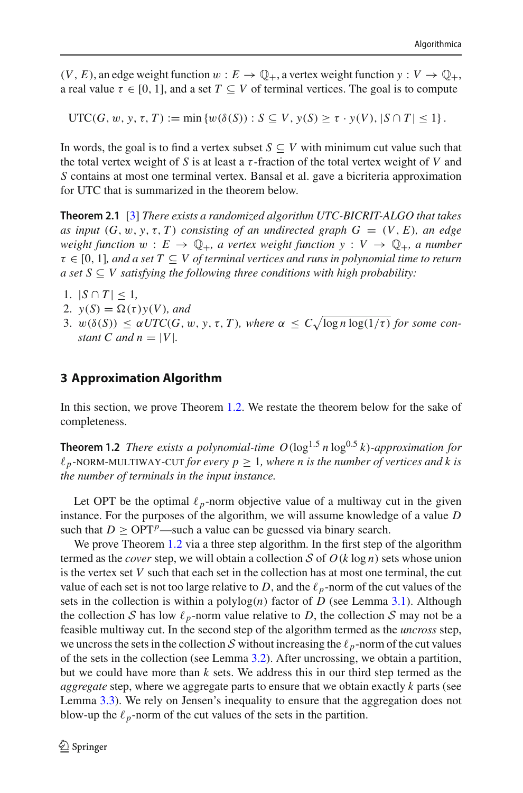$(V, E)$ , an edge weight function  $w : E \to \mathbb{Q}_+$ , a vertex weight function  $y : V \to \mathbb{Q}_+$ , a real value  $\tau \in [0, 1]$ , and a set  $T \subset V$  of terminal vertices. The goal is to compute

UTC(*G*, *w*, *y*,  $\tau$ , *T*) := min { $w(\delta(S))$  :  $S \subseteq V$ ,  $y(S) \ge \tau \cdot y(V)$ ,  $|S \cap T| \le 1$  .

In words, the goal is to find a vertex subset  $S \subseteq V$  with minimum cut value such that the total vertex weight of *S* is at least a  $\tau$ -fraction of the total vertex weight of *V* and *S* contains at most one terminal vertex. Bansal et al. gave a bicriteria approximation for UTC that is summarized in the theorem below.

<span id="page-9-1"></span>**Theorem 2.1** [\[3](#page-33-2)] *There exists a randomized algorithm UTC-BICRIT-ALGO that takes as input*  $(G, w, y, \tau, T)$  *consisting of an undirected graph*  $G = (V, E)$ *, an edge weight function*  $w : E \to \mathbb{Q}_+$ , a vertex weight function  $y : V \to \mathbb{Q}_+$ , a number  $\tau \in [0, 1]$ , and a set  $T \subseteq V$  of terminal vertices and runs in polynomial time to return *a set*  $S ⊂ V$  *satisfying the following three conditions with high probability:* 

- 1.  $|S \cap T|$  ≤ 1,
- 2.  $y(S) = \Omega(\tau)y(V)$ *, and*
- 3.  $w(\delta(S)) \leq \alpha UTC(G, w, y, \tau, T)$ *, where*  $\alpha \leq C \sqrt{\log n \log(1/\tau)}$  *for some constant C* and  $n = |V|$ .

#### <span id="page-9-0"></span>**3 Approximation Algorithm**

In this section, we prove Theorem [1.2.](#page-3-0) We restate the theorem below for the sake of completeness.

**Theorem 1.2** *There exists a polynomial-time*  $O(\log^{1.5} n \log^{0.5} k)$ *-approximation for*  $\ell_p$ -NORM-MULTIWAY-CUT *for every*  $p \geq 1$ *, where n is the number of vertices and k is*<br>the number of terminals in the input instance *the number of terminals in the input instance.*

Let OPT be the optimal  $\ell_p$ -norm objective value of a multiway cut in the given instance. For the purposes of the algorithm, we will assume knowledge of a value *D* such that  $D \geq \text{OPT}^p$ —such a value can be guessed via binary search.

We prove Theorem [1.2](#page-3-0) via a three step algorithm. In the first step of the algorithm termed as the *cover* step, we will obtain a collection *S* of  $O(k \log n)$  sets whose union is the vertex set *V* such that each set in the collection has at most one terminal, the cut value of each set is not too large relative to *D*, and the  $\ell_p$ -norm of the cut values of the sets in the collection is within a polylog $(n)$  factor of *D* (see Lemma [3.1\)](#page-10-0). Although the collection *S* has low  $\ell_p$ -norm value relative to *D*, the collection *S* may not be a feasible multiway cut. In the second step of the algorithm termed as the *uncross* step, we uncross the sets in the collection *S* without increasing the  $\ell_p$ -norm of the cut values of the sets in the collection (see Lemma [3.2\)](#page-14-0). After uncrossing, we obtain a partition, but we could have more than *k* sets. We address this in our third step termed as the *aggregate* step, where we aggregate parts to ensure that we obtain exactly *k* parts (see Lemma [3.3\)](#page-15-0). We rely on Jensen's inequality to ensure that the aggregation does not blow-up the  $\ell_p$ -norm of the cut values of the sets in the partition.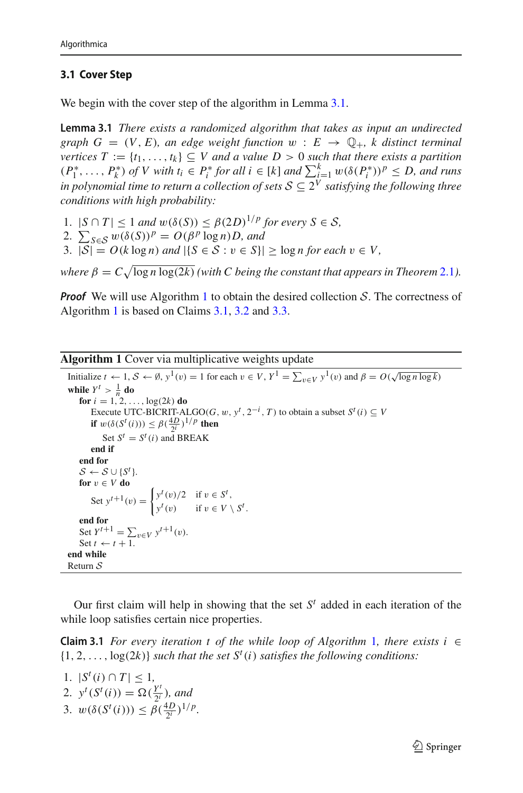### **3.1 Cover Step**

<span id="page-10-0"></span>We begin with the cover step of the algorithm in Lemma [3.1.](#page-10-0)

**Lemma 3.1** *There exists a randomized algorithm that takes as input an undirected graph*  $G = (V, E)$ *, an edge weight function*  $w : E \rightarrow \mathbb{Q}_+$ *, k distinct terminal vertices*  $T := \{t_1, \ldots, t_k\} \subseteq V$  *and a value*  $D > 0$  *such that there exists a partition*  $(P_1^*, \ldots, P_k^*)$  *of V with t<sub>i</sub>* ∈  $P_i^*$  *for all i* ∈ [*k*] *and*  $\sum_{i=1}^k w(\delta(P_i^*))^p \le D$ , *and runs in polynomial time to return a collection of sets*  $S \subseteq 2^V$  *satisfying the following three conditions with high probability:*

- 1.  $|S \cap T| \leq 1$  *and*  $w(\delta(S)) \leq \beta(2D)^{1/p}$  for every  $S \in S$ ,
- 2.  $\sum_{S \in S} w(\delta(S))^p = O(\beta^p \log n)D$ , and
- 3.  $|S| = O(k \log n)$  *and*  $|\{S \in S : v \in S\}| \geq \log n$  for each  $v \in V$ ,

*where*  $\beta = C \sqrt{\log n \log(2k)}$  *(with C being the constant that appears in Theorem* [2.1](#page-9-1)*)*.

*Proof* We will use Algorithm [1](#page-10-1) to obtain the desired collection *S*. The correctness of Algorithm [1](#page-10-1) is based on Claims [3.1,](#page-10-2) [3.2](#page-12-0) and [3.3.](#page-12-1)

#### **Algorithm 1** Cover via multiplicative weights update

```
Initialize t \leftarrow 1, S \leftarrow \emptyset, y^1(v) = 1 for each v \in V, Y^1 = \sum_{v \in V} y^1(v) and \beta = O(\sqrt{\log n \log k})while Y^t > \frac{1}{n} do
    for i = 1, 2, \ldots, \log(2k) do
        Execute UTC-BICRIT-ALGO(G, w, y^t, 2^{-i}, T) to obtain a subset S^t(i) \subseteq Vif w(\delta(S^t(i))) \leq \beta(\frac{4D}{2^i})^{1/p} then
             Set S^t = S^t(i) and BREAK
        end if
    end for
    S \leftarrow S \cup \{S^t\}.for v \in V do
         Set y^{t+1}(v) = \begin{cases} y^t(v)/2 & \text{if } v \in S^t, \\ y^t(v) & \text{if } v \in V. \end{cases}y^t(v) if v \in V \setminus S^t.
    end for<br>
Set Y^{t+1} = \sum_{v \in V} y^{t+1}(v).<br>
Set t \leftarrow t + 1.
end while
Return S
```
<span id="page-10-2"></span><span id="page-10-1"></span>Our first claim will help in showing that the set  $S<sup>t</sup>$  added in each iteration of the while loop satisfies certain nice properties.

**Claim 3.[1](#page-10-1)** *For every iteration t of the while loop of Algorithm* 1*, there exists i* ∈  $\{1, 2, \ldots, \log(2k)\}\$  *such that the set*  $S^t(i)$  *satisfies the following conditions:* 

- 1.  $|S^t(i) \cap T|$  ≤ 1, 2.  $y^t(S^t(i)) = \Omega(\frac{Y^t}{2^i})$ , and
- 3.  $w(\delta(S^t(i))) \leq \beta(\frac{4D}{2^i})^{1/p}$ .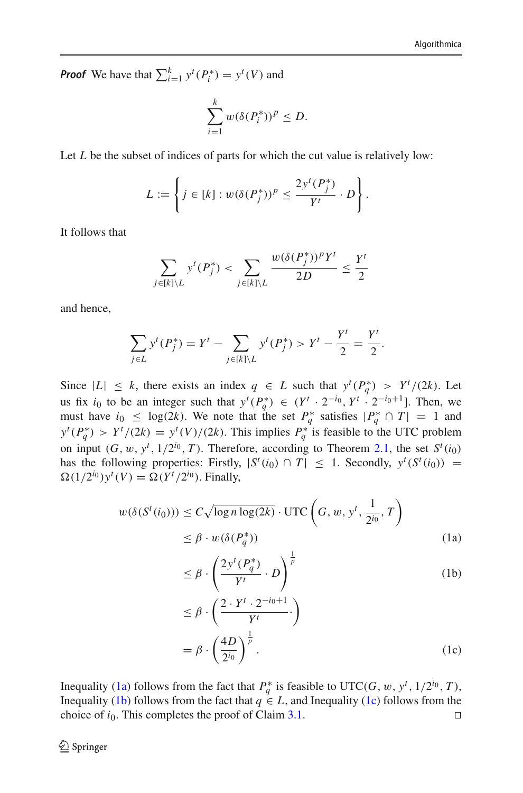*Proof* We have that  $\sum_{i=1}^{k} y^{t}(P_{i}^{*}) = y^{t}(V)$  and

$$
\sum_{i=1}^k w(\delta(P_i^*))^p \le D.
$$

Let *L* be the subset of indices of parts for which the cut value is relatively low:

$$
L := \left\{ j \in [k] : w(\delta(P_j^*))^p \le \frac{2y^t(P_j^*)}{Y^t} \cdot D \right\}.
$$

It follows that

$$
\sum_{j \in [k] \setminus L} y^t(P_j^*) < \sum_{j \in [k] \setminus L} \frac{w(\delta(P_j^*))^p Y^t}{2D} \le \frac{Y^t}{2}
$$

and hence,

$$
\sum_{j \in L} y^t(P_j^*) = Y^t - \sum_{j \in [k] \setminus L} y^t(P_j^*) > Y^t - \frac{Y^t}{2} = \frac{Y^t}{2}.
$$

Since  $|L| \leq k$ , there exists an index  $q \in L$  such that  $y^t(P_q^*) > Y^t/(2k)$ . Let us fix *i*<sub>0</sub> to be an integer such that  $y^{t}(P_{q}^{*}) \in (Y^{t} \cdot 2^{-i_{0}}, Y^{t} \cdot 2^{-i_{0}+1}]$ . Then, we must have  $i_0 \leq \log(2k)$ . We note that the set  $P_q^*$  satisfies  $|P_q^* \cap T| = 1$  and  $y^t(P_q^*)$  >  $Y^t/(2k) = y^t(V)/(2k)$ . This implies  $P_q^*$  is feasible to the UTC problem on input  $(G, w, y^t, 1/2^{i_0}, T)$ . Therefore, according to Theorem [2.1,](#page-9-1) the set  $S^t(i_0)$ has the following properties: Firstly,  $|S^t(i_0) \cap T| \leq 1$ . Secondly,  $y^t(S^t(i_0)) =$  $\Omega(1/2^{i_0})y^t(V) = \Omega(Y^t/2^{i_0})$ . Finally,

$$
w(\delta(S^t(i_0))) \le C\sqrt{\log n \log(2k)} \cdot \text{UTC}\left(G, w, y^t, \frac{1}{2^{i_0}}, T\right)
$$
  

$$
\le \beta \cdot w(\delta(P_q^*)) \tag{1a}
$$

<span id="page-11-1"></span><span id="page-11-0"></span>
$$
\leq \beta \cdot \left(\frac{2y^t(P_q^*)}{Y^t} \cdot D\right)^{\frac{1}{p}} \tag{1b}
$$

<span id="page-11-2"></span>
$$
\leq \beta \cdot \left(\frac{2 \cdot Y^t \cdot 2^{-i_0+1}}{Y^t} \cdot \right)
$$

$$
= \beta \cdot \left(\frac{4D}{2^{i_0}}\right)^{\frac{1}{p}}.
$$
(1c)

Inequality [\(1a\)](#page-11-0) follows from the fact that  $P_q^*$  is feasible to UTC(*G*, *w*,  $y^t$ ,  $1/2^{i_0}$ , *T*), Inequality [\(1b\)](#page-11-1) follows from the fact that  $q \in L$ , and Inequality [\(1c\)](#page-11-2) follows from the choice of  $i_0$ . This completes the proof of Claim [3.1.](#page-10-2)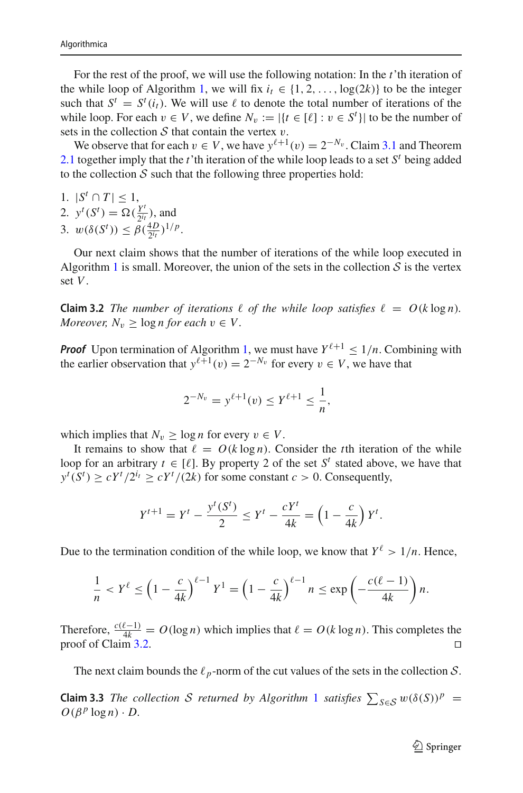For the rest of the proof, we will use the following notation: In the *t*'th iteration of the while loop of Algorithm [1,](#page-10-1) we will fix  $i_t \in \{1, 2, ..., \log(2k)\}\)$  to be the integer such that  $S^t = S^t(i_t)$ . We will use  $\ell$  to denote the total number of iterations of the while loop. For each  $v \in V$ , we define  $N_v := |\{t \in [\ell] : v \in S^t\}|$  to be the number of sets in the collection  $S$  that contain the vertex  $v$ .

We observe that for each  $v \in V$ , we have  $y^{\ell+1}(v) = 2^{-N_v}$ . Claim [3.1](#page-10-2) and Theorem [2.1](#page-9-1) together imply that the *t*'th iteration of the while loop leads to a set *S<sup>t</sup>* being added to the collection  $S$  such that the following three properties hold:

$$
1. \ |S^t \cap T| \leq 1,
$$

- 2.  $y^t(S^t) = \Omega(\frac{Y^t}{2^{i_t}})$ , and
- 3.  $w(\delta(S^t)) \leq \beta(\frac{4D}{2^{i_t}})^{1/p}$ .

<span id="page-12-0"></span>Our next claim shows that the number of iterations of the while loop executed in Algorithm [1](#page-10-1) is small. Moreover, the union of the sets in the collection  $S$  is the vertex set *V*.

**Claim 3.2** *The number of iterations*  $\ell$  *of the while loop satisfies*  $\ell = O(k \log n)$ *. Moreover,*  $N_v \geq \log n$  *for each*  $v \in V$ .

**Proof** Upon termination of Algorithm [1,](#page-10-1) we must have  $Y^{\ell+1} \leq 1/n$ . Combining with the earlier observation that  $y^{\ell+1}(v) = 2^{-N_v}$  for every  $v \in V$ , we have that

$$
2^{-N_v} = y^{\ell+1}(v) \le Y^{\ell+1} \le \frac{1}{n},
$$

which implies that  $N_v \geq \log n$  for every  $v \in V$ .

It remains to show that  $\ell = O(k \log n)$ . Consider the *t*th iteration of the while loop for an arbitrary  $t \in [\ell]$ . By property 2 of the set  $S^t$  stated above, we have that  $y^{t}(S^{t}) \ge cY^{t}/2^{i_{t}} \ge cY^{t}/(2k)$  for some constant *c* > 0. Consequently,

$$
Y^{t+1} = Y^t - \frac{y^t(S^t)}{2} \le Y^t - \frac{cY^t}{4k} = \left(1 - \frac{c}{4k}\right)Y^t.
$$

Due to the termination condition of the while loop, we know that  $Y^{\ell} > 1/n$ . Hence,

$$
\frac{1}{n} < Y^{\ell} \le \left(1 - \frac{c}{4k}\right)^{\ell-1} Y^1 = \left(1 - \frac{c}{4k}\right)^{\ell-1} n \le \exp\left(-\frac{c(\ell-1)}{4k}\right) n.
$$

Therefore,  $\frac{c(\ell-1)}{4k} = O(\log n)$  which implies that  $\ell = O(k \log n)$ . This completes the proof of Claim [3.2.](#page-12-0)

<span id="page-12-1"></span>The next claim bounds the  $\ell_p$ -norm of the cut values of the sets in the collection  $S$ .

**Claim 3.3** *The collection S returned* by Algorithm [1](#page-10-1) *satisfies*  $\sum_{S \in S} w(\delta(S))^p =$  $O(\beta^p \log n) \cdot D$ .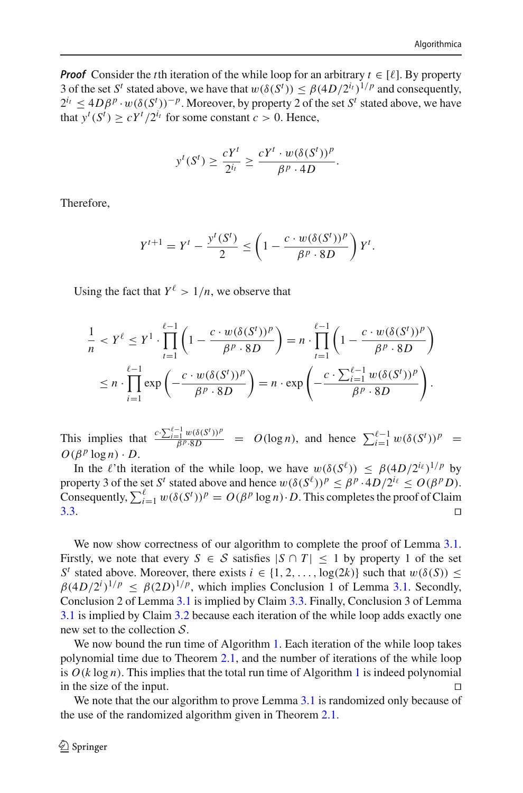*Proof* Consider the *t*<sup>th</sup> iteration of the while loop for an arbitrary  $t \in [\ell]$ . By property 3 of the set *S<sup>t</sup>* stated above, we have that  $w(\delta(S^t)) \leq \beta(4D/2^{i_t})^{1/p}$  and consequently,  $2^{i_t} \leq 4D\beta^p \cdot w(\delta(S^t))^{-p}$ . Moreover, by property 2 of the set  $S^t$  stated above, we have that  $y^t(S^t) \ge cY^t/2^{i_t}$  for some constant  $c > 0$ . Hence,

$$
y^{t}(S^{t}) \geq \frac{cY^{t}}{2^{i_{t}}} \geq \frac{cY^{t} \cdot w(\delta(S^{t}))^{p}}{\beta^{p} \cdot 4D}.
$$

Therefore,

$$
Y^{t+1} = Y^t - \frac{y^t(S^t)}{2} \le \left(1 - \frac{c \cdot w(\delta(S^t))^p}{\beta^p \cdot 8D}\right)Y^t.
$$

Using the fact that  $Y^{\ell} > 1/n$ , we observe that

$$
\frac{1}{n} < Y^{\ell} \le Y^1 \cdot \prod_{t=1}^{\ell-1} \left( 1 - \frac{c \cdot w(\delta(S^t))^p}{\beta^p \cdot 8D} \right) = n \cdot \prod_{t=1}^{\ell-1} \left( 1 - \frac{c \cdot w(\delta(S^t))^p}{\beta^p \cdot 8D} \right) \\
\le n \cdot \prod_{i=1}^{\ell-1} \exp\left( -\frac{c \cdot w(\delta(S^t))^p}{\beta^p \cdot 8D} \right) = n \cdot \exp\left( -\frac{c \cdot \sum_{i=1}^{\ell-1} w(\delta(S^t))^p}{\beta^p \cdot 8D} \right).
$$

This implies that  $\frac{c \cdot \sum_{i=1}^{\ell-1} w(\delta(S^t))^p}{\beta^p \cdot 8D} = O(\log n)$ , and hence  $\sum_{i=1}^{\ell-1} w(\delta(S^t))^p = O(\log n)$  $O(\beta^p \log n) \cdot D$ .

In the  $\ell$ 'th iteration of the while loop, we have  $w(\delta(S^{\ell})) \leq \beta(4D/2^{\ell_{\ell}})^{1/p}$  by property 3 of the set *S<sup>t</sup>* stated above and hence  $w(\delta(S^{\ell}))^p \leq \beta^p \cdot 4D/2^{i_{\ell}} \leq O(\beta^p D)$ . Consequently,  $\sum_{i=1}^{\ell} w(\delta(S^t))^p = O(\beta^p \log n) \cdot D$ . This completes the proof of Claim  $3.3.$ 

We now show correctness of our algorithm to complete the proof of Lemma [3.1.](#page-10-0) Firstly, we note that every  $S \in S$  satisfies  $|S \cap T| \leq 1$  by property 1 of the set *S<sup>t</sup>* stated above. Moreover, there exists  $i \in \{1, 2, ..., \log(2k)\}\$  such that  $w(\delta(S))$  <  $\beta (4D/2^i)^{1/p} \leq \beta (2D)^{1/p}$ , which implies Conclusion 1 of Lemma [3.1.](#page-10-0) Secondly, Conclusion 2 of Lemma [3.1](#page-10-0) is implied by Claim [3.3.](#page-12-1) Finally, Conclusion 3 of Lemma [3.1](#page-10-0) is implied by Claim [3.2](#page-12-0) because each iteration of the while loop adds exactly one new set to the collection *S*.

We now bound the run time of Algorithm [1.](#page-10-1) Each iteration of the while loop takes polynomial time due to Theorem [2.1,](#page-9-1) and the number of iterations of the while loop is  $O(k \log n)$ . This implies that the total run time of Algorithm [1](#page-10-1) is indeed polynomial in the size of the input.

We note that the our algorithm to prove Lemma [3.1](#page-10-0) is randomized only because of the use of the randomized algorithm given in Theorem [2.1.](#page-9-1)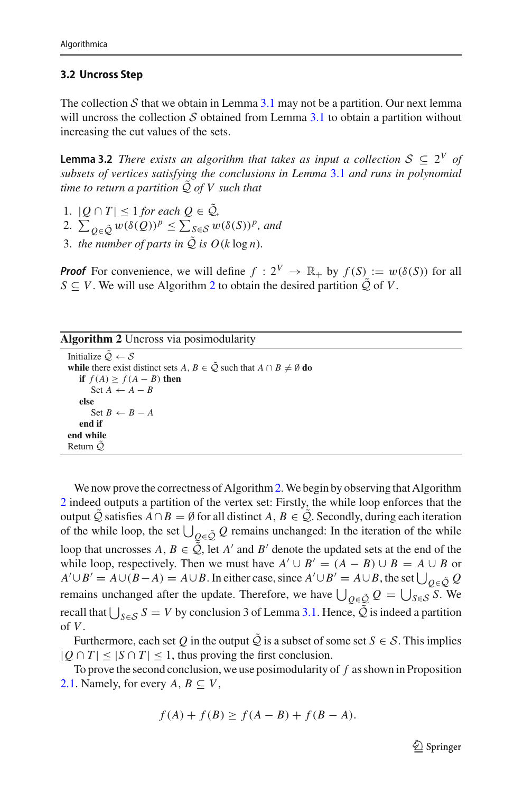#### **3.2 Uncross Step**

The collection  $S$  that we obtain in Lemma [3.1](#page-10-0) may not be a partition. Our next lemma will uncross the collection *S* obtained from Lemma [3.1](#page-10-0) to obtain a partition without increasing the cut values of the sets.

<span id="page-14-0"></span>**Lemma 3.2** *There exists an algorithm that takes as input a collection*  $S \subseteq 2^V$  *of subsets of vertices satisfying the conclusions in Lemma* [3.1](#page-10-0) *and runs in polynomial time to return a partition Q*˜ *of V such that*

- 1.  $|Q ∩ T|$  ≤ 1 *for each*  $Q ∈ \tilde{Q}$ <sub>*,*</sub>
- 2.  $\sum_{Q \in \tilde{Q}} w(\delta(Q))^p \le \sum_{S \in \mathcal{S}} w(\delta(S))^p$ , and
- 3. *the number of parts in*  $\tilde{Q}$  *is*  $O(k \log n)$ *.*

*Proof* For convenience, we will define  $f: 2^V \to \mathbb{R}_+$  by  $f(S) := w(\delta(S))$  for all *S*  $\subseteq$  *V*. We will use Algorithm [2](#page-14-1) to obtain the desired partition  $\tilde{Q}$  of *V*.

| Algorithm 2 Uncross via posimodularity |  |  |  |
|----------------------------------------|--|--|--|
|----------------------------------------|--|--|--|

```
Initialize \tilde{Q} \leftarrow Swhile there exist distinct sets A, B \in \tilde{Q} such that A \cap B \neq \emptyset do
   if f(A) \ge f(A - B) then
       Set A ← A − B
   else
       Set B ← B − A
   end if
end while
Return Q˜
```
<span id="page-14-1"></span>We now prove the correctness of Algorithm [2.](#page-14-1) We begin by observing that Algorithm [2](#page-14-1) indeed outputs a partition of the vertex set: Firstly, the while loop enforces that the output  $\overline{Q}$  satisfies  $A \cap B = \emptyset$  for all distinct  $A, B \in \overline{Q}$ . Secondly, during each iteration of the while loop, the set  $\bigcup_{Q \in \tilde{Q}} Q$  remains unchanged: In the iteration of the while loop that uncrosses  $A, B \in \tilde{Q}$ , let  $A'$  and  $B'$  denote the updated sets at the end of the while loop, respectively. Then we must have  $A' \cup B' = (A - B) \cup B = A \cup B$  or  $A' \cup B' = A \cup (B - A) = A \cup B$ . In either case, since  $A' \cup B' = A \cup B$ , the set  $\bigcup_{Q \in \mathcal{Q}} Q$ remains unchanged after the update. Therefore, we have  $\bigcup_{Q \in \tilde{Q}} Q = \bigcup_{S \in \mathcal{S}} S$ . We recall that  $\bigcup_{S \in \mathcal{S}} S = V$  by conclusion 3 of Lemma [3.1.](#page-10-0) Hence, *Q* is indeed a partition of *V*.

Furthermore, each set Q in the output  $\tilde{Q}$  is a subset of some set  $S \in \mathcal{S}$ . This implies  $|Q \cap T| \leq |S \cap T| \leq 1$ , thus proving the first conclusion.

To prove the second conclusion, we use posimodularity of *f* as shown in Proposition [2.1.](#page-8-1) Namely, for every  $A, B \subseteq V$ ,

$$
f(A) + f(B) \ge f(A - B) + f(B - A).
$$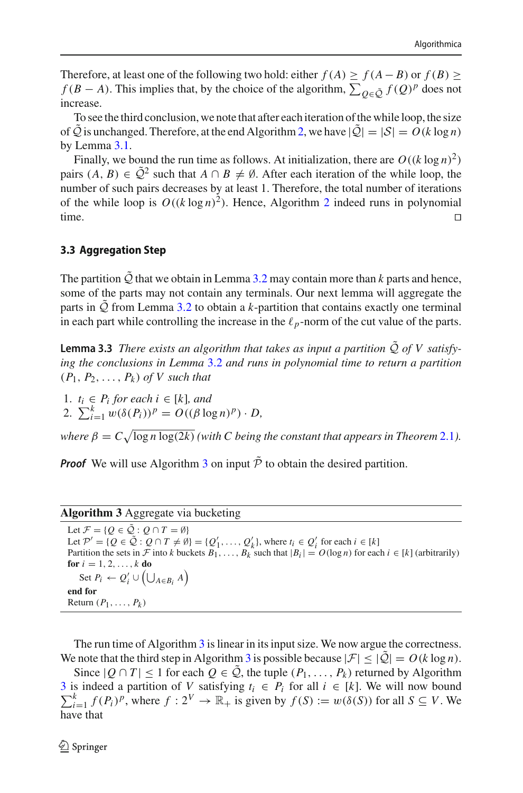Therefore, at least one of the following two hold: either  $f(A) \ge f(A - B)$  or  $f(B) \ge$  $f(B - A)$ . This implies that, by the choice of the algorithm,  $\sum_{Q \in \tilde{Q}} f(Q)^p$  does not increase.

To see the third conclusion, we note that after each iteration of the while loop, the size of  $\overline{Q}$  is unchanged. Therefore, at the end Algorithm [2,](#page-14-1) we have  $|\overline{Q}|=|S| = O(k \log n)$ by Lemma [3.1.](#page-10-0)

Finally, we bound the run time as follows. At initialization, there are  $O((k \log n)^2)$ pairs  $(A, B) \in \tilde{Q}^2$  such that  $A \cap B \neq \emptyset$ . After each iteration of the while loop, the number of such pairs decreases by at least 1. Therefore, the total number of iterations of the while loop is  $O((k \log n)^2)$  $O((k \log n)^2)$  $O((k \log n)^2)$ . Hence, Algorithm 2 indeed runs in polynomial time.

#### **3.3 Aggregation Step**

The partition  $\overline{Q}$  that we obtain in Lemma [3.2](#page-14-0) may contain more than *k* parts and hence, some of the parts may not contain any terminals. Our next lemma will aggregate the parts in *Q*˜ from Lemma [3.2](#page-14-0) to obtain a *k*-partition that contains exactly one terminal in each part while controlling the increase in the  $\ell_p$ -norm of the cut value of the parts.

<span id="page-15-0"></span>**Lemma 3.3** *There exists an algorithm that takes as input a partition*  $\tilde{Q}$  *of V satisfying the conclusions in Lemma* [3.2](#page-14-0) *and runs in polynomial time to return a partition*  $(P_1, P_2, \ldots, P_k)$  *of* V such that

1.  $t_i \in P_i$  *for each*  $i \in [k]$ *, and* 2.  $\sum_{i=1}^{k} w(\delta(P_i))^p = O((\beta \log n)^p) \cdot D$ ,

*where*  $\beta = C \sqrt{\log n \log(2k)}$  *(with C being the constant that appears in Theorem* [2.1](#page-9-1)*)*.

**Proof** We will use Algorithm [3](#page-15-1) on input  $\tilde{\mathcal{P}}$  to obtain the desired partition.

#### **Algorithm 3** Aggregate via bucketing

<span id="page-15-1"></span>Let  $\mathcal{F} = \{Q \in \tilde{\mathcal{Q}} : Q \cap T = \emptyset\}$ Let  $\mathcal{P}' = \{Q \in \mathcal{Q} : Q \cap T \neq \emptyset\} = \{Q'_1, \ldots, Q'_k\}$ , where  $t_i \in Q'_i$  for each  $i \in [k]$ Partition the sets in  $\mathcal{F}$  into *k* buckets  $B_1, \ldots, B_k$  such that  $|B_i| = O(\log n)$  for each  $i \in [k]$  (arbitrarily) **for**  $i = 1, 2, ..., k$  **do** Set  $P_i \leftarrow Q_i' \cup (\bigcup_{A \in B_i} A)$ **end for** Return  $(P_1, \ldots, P_k)$ 

The run time of Algorithm [3](#page-15-1) is linear in its input size. We now argue the correctness. We note that the third step in Algorithm [3](#page-15-1) is possible because  $|\mathcal{F}| \leq |\tilde{Q}| = O(k \log n)$ .

Since  $|Q ∩ T|$  ≤ 1 for each  $Q ∈ Q$ , the tuple  $(P_1, ..., P_k)$  returned by Algorithm [3](#page-15-1) is indeed a partition of *V* satisfying  $t_i \in P_i$  for all  $i \in [k]$ . We will now bound  $\sum_{i=1}^{k} f(P_i)^p$ , where  $f: 2^V \to \mathbb{R}_+$  is given by  $f(S) := w(\delta(S))$  for all  $S \subseteq V$ . We have that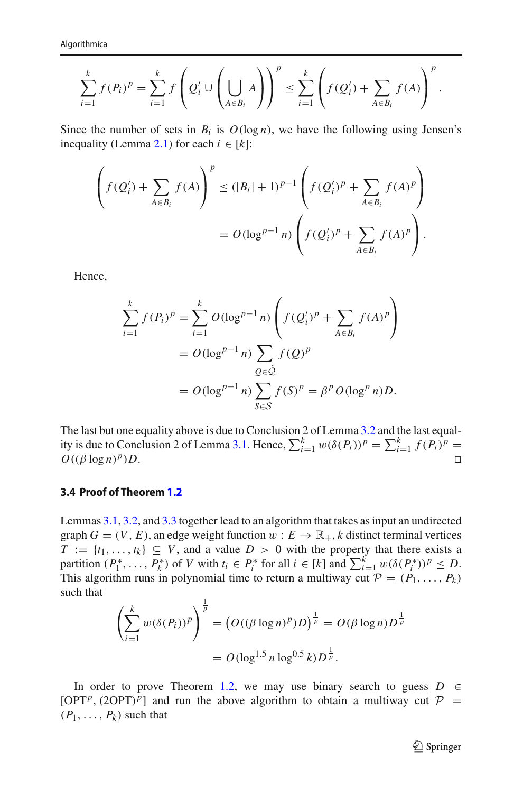$$
\sum_{i=1}^k f(P_i)^p = \sum_{i=1}^k f\left(Q_i' \cup \left(\bigcup_{A \in B_i} A\right)\right)^p \leq \sum_{i=1}^k \left(f(Q_i') + \sum_{A \in B_i} f(A)\right)^p.
$$

Since the number of sets in  $B_i$  is  $O(\log n)$ , we have the following using Jensen's inequality (Lemma [2.1\)](#page-8-2) for each  $i \in [k]$ :

$$
\left(f(Q'_{i}) + \sum_{A \in B_{i}} f(A)\right)^{p} \leq (|B_{i}| + 1)^{p-1} \left(f(Q'_{i})^{p} + \sum_{A \in B_{i}} f(A)^{p}\right)
$$

$$
= O(\log^{p-1} n) \left(f(Q'_{i})^{p} + \sum_{A \in B_{i}} f(A)^{p}\right).
$$

Hence,

$$
\sum_{i=1}^{k} f(P_i)^p = \sum_{i=1}^{k} O(\log^{p-1} n) \left( f(Q'_i)^p + \sum_{A \in B_i} f(A)^p \right)
$$
  
= 
$$
O(\log^{p-1} n) \sum_{Q \in \tilde{Q}} f(Q)^p
$$
  
= 
$$
O(\log^{p-1} n) \sum_{S \in \mathcal{S}} f(S)^p = \beta^p O(\log^p n) D.
$$

The last but one equality above is due to Conclusion 2 of Lemma [3.2](#page-14-0) and the last equal-ity is due to Conclusion 2 of Lemma [3.1.](#page-10-0) Hence,  $\sum_{i=1}^{k} w(\delta(P_i))^p = \sum_{i=1}^{k} f(P_i)^p =$  $O((\beta \log n)^p)D$ .

#### **3.4 Proof of Theorem [1.2](#page-3-0)**

Lemmas [3.1,](#page-10-0) [3.2,](#page-14-0) and [3.3](#page-15-0) together lead to an algorithm that takes as input an undirected graph  $G = (V, E)$ , an edge weight function  $w : E \to \mathbb{R}_+$ , *k* distinct terminal vertices  $T := \{t_1, \ldots, t_k\} \subseteq V$ , and a value  $D > 0$  with the property that there exists a partition  $(P_1^*, \ldots, P_k^*)$  of *V* with  $t_i \in P_i^*$  for all  $i \in [k]$  and  $\sum_{i=1}^k w(\delta(P_i^*))^p \leq D$ . This algorithm runs in polynomial time to return a multiway cut  $P = (P_1, \ldots, P_k)$ such that

$$
\left(\sum_{i=1}^{k} w(\delta(P_i))^p\right)^{\frac{1}{p}} = \left(O((\beta \log n)^p)D\right)^{\frac{1}{p}} = O(\beta \log n)D^{\frac{1}{p}}
$$

$$
= O(\log^{1.5} n \log^{0.5} k)D^{\frac{1}{p}}.
$$

In order to prove Theorem [1.2,](#page-3-0) we may use binary search to guess  $D$  ∈  $[OPT<sup>p</sup>, (2OPT)<sup>p</sup>]$  and run the above algorithm to obtain a multiway cut  $P =$  $(P_1, \ldots, P_k)$  such that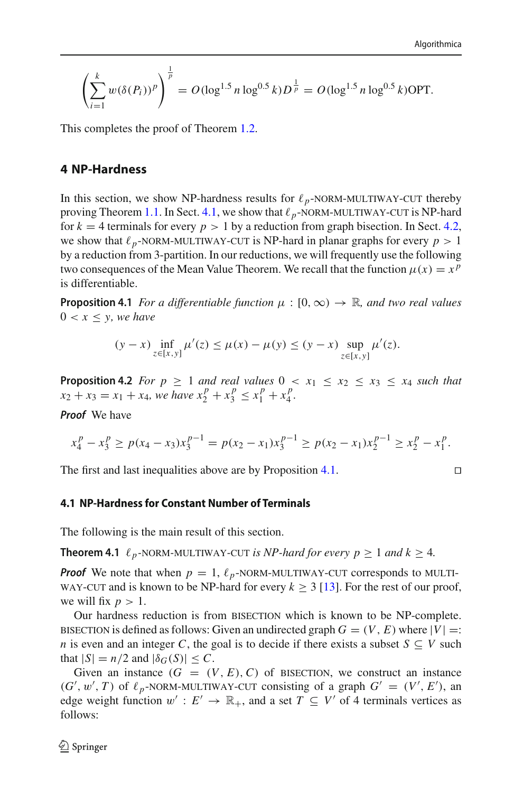$$
\left(\sum_{i=1}^k w(\delta(P_i))^p\right)^{\frac{1}{p}} = O(\log^{1.5} n \log^{0.5} k) D^{\frac{1}{p}} = O(\log^{1.5} n \log^{0.5} k) \text{OPT}.
$$

This completes the proof of Theorem [1.2.](#page-3-0)

# <span id="page-17-3"></span>**4 NP-Hardness**

In this section, we show NP-hardness results for  $\ell_p$ -NORM-MULTIWAY-CUT thereby<br>proving Theorem 1.1 In Sect 4.1, we show that  $\ell_z$ -NORM-MULTIWAY-CUT is NP-hard proving Theorem [1.1.](#page-2-1) In Sect. [4.1,](#page-17-0) we show that  $\ell_p$ -NORM-MULTIWAY-CUT is NP-hard<br>for  $k = 4$  terminals for every  $p > 1$  by a reduction from graph bisection. In Sect. 4.2. for  $k = 4$  terminals for every  $p > 1$  by a reduction from graph bisection. In Sect. [4.2,](#page-22-0) we show that  $\ell_p$ -NORM-MULTIWAY-CUT is NP-hard in planar graphs for every  $p > 1$ <br>by a reduction from 3-partition. In our reductions, we will frequently use the following by a reduction from 3-partition. In our reductions, we will frequently use the following two consequences of the Mean Value Theorem. We recall that the function  $\mu(x) = x^p$ is differentiable.

**Proposition 4.1** *For a differentiable function*  $\mu : [0, \infty) \to \mathbb{R}$ *, and two real values*  $0 < x < y$ , we have

<span id="page-17-1"></span>
$$
(y-x)\inf_{z\in[x,y]}\mu'(z) \le \mu(x) - \mu(y) \le (y-x)\sup_{z\in[x,y]} \mu'(z).
$$

<span id="page-17-2"></span>**Proposition 4.2** *For p*  $\geq$  1 *and real values*  $0 \lt x_1 \leq x_2 \leq x_3 \leq x_4$  *such that*  $x_2 + x_3 = x_1 + x_4$ , we have  $x_2^p + x_3^p \le x_1^p + x_4^p$ .

*Proof* We have

$$
x_4^p - x_3^p \ge p(x_4 - x_3)x_3^{p-1} = p(x_2 - x_1)x_3^{p-1} \ge p(x_2 - x_1)x_2^{p-1} \ge x_2^p - x_1^p.
$$

The first and last inequalities above are by Proposition [4.1.](#page-17-1)

$$
\Box
$$

### <span id="page-17-0"></span>**4.1 NP-Hardness for Constant Number of Terminals**

<span id="page-17-4"></span>The following is the main result of this section.

**Theorem 4.1**  $\ell_p$ -NORM-MULTIWAY-CUT *is NP-hard for every*  $p \geq 1$  *and*  $k \geq 4$ *.* 

**Proof** We note that when  $p = 1$ ,  $\ell_p$ -NORM-MULTIWAY-CUT corresponds to MULTIWAY-CUT and is known to be NP-hard for every  $k > 3$  [13]. For the rest of our proof WAY-CUT and is known to be NP-hard for every  $k \geq 3$  [\[13\]](#page-34-0). For the rest of our proof, we will fix  $p > 1$ .

Our hardness reduction is from bisection which is known to be NP-complete. bisection is defined as follows: Given an undirected graph  $G = (V, E)$  where  $|V| =$ : *n* is even and an integer *C*, the goal is to decide if there exists a subset  $S \subseteq V$  such that  $|S| = n/2$  and  $|\delta_G(S)| \leq C$ .

Given an instance  $(G = (V, E), C)$  of BISECTION, we construct an instance  $(G', w', T)$  of  $\ell_p$ -NORM-MULTIWAY-CUT consisting of a graph  $G' = (V', E')$ , and each vertice when  $w' : F' \to \mathbb{R}$  and a set  $T \subset V'$  of 4 terminals vertices as edge weight function  $w' : E' \to \mathbb{R}_+$ , and a set  $T \subseteq V'$  of 4 terminals vertices as follows: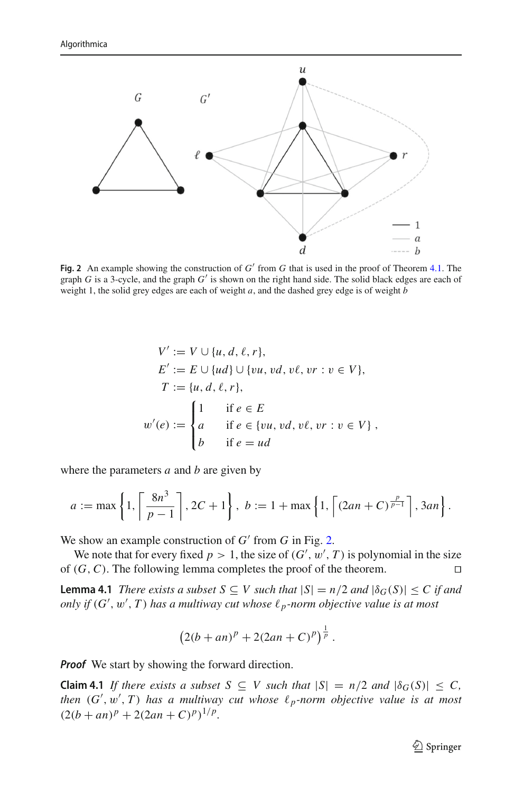

<span id="page-18-0"></span>**Fig. 2** An example showing the construction of  $G'$  from  $G$  that is used in the proof of Theorem [4.1.](#page-17-4) The graph *G* is a 3-cycle, and the graph *G* is shown on the right hand side. The solid black edges are each of weight 1, the solid grey edges are each of weight *a*, and the dashed grey edge is of weight *b*

$$
V' := V \cup \{u, d, \ell, r\},
$$
  
\n
$$
E' := E \cup \{ud\} \cup \{vu, vd, v\ell, vr : v \in V\},
$$
  
\n
$$
T := \{u, d, \ell, r\},
$$
  
\n
$$
w'(e) := \begin{cases} 1 & \text{if } e \in E \\ a & \text{if } e \in \{vu, vd, v\ell, vr : v \in V\}, \\ b & \text{if } e = ud \end{cases}
$$

where the parameters *a* and *b* are given by

$$
a := \max\left\{1, \left\lceil \frac{8n^3}{p-1} \right\rceil, 2C+1\right\}, b := 1 + \max\left\{1, \left\lceil (2an+C)^{\frac{p}{p-1}} \right\rceil, 3an\right\}.
$$

We show an example construction of  $G'$  from  $G$  in Fig. [2.](#page-18-0)

We note that for every fixed  $p > 1$ , the size of  $(G', w', T)$  is polynomial in the size of  $(G, C)$ . The following lemma completes the proof of the theorem.

**Lemma 4.1** *There exists a subset*  $S \subseteq V$  *such that*  $|S| = n/2$  *and*  $|\delta_G(S)| \le C$  *if and only if*  $(G', w', T)$  *has a multiway cut whose*  $\ell_p$ -norm objective value is at most

$$
(2(b+an)^p + 2(2an+C)^p)^{\frac{1}{p}}.
$$

*Proof* We start by showing the forward direction.

**Claim 4.1** *If there exists a subset*  $S \subseteq V$  *such that*  $|S| = n/2$  *and*  $|\delta_G(S)| \le C$ , then  $(G', w', T)$  has a multiway cut whose  $\ell_p$ -norm objective value is at most  $(2(b + an)^p + 2(2an + C)^p)^{1/p}$ .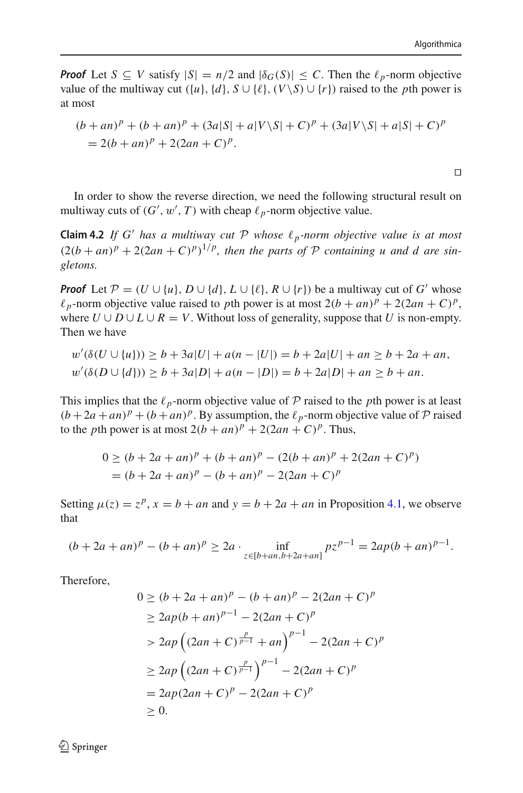$\Box$ 

*Proof* Let  $S \subseteq V$  satisfy  $|S| = n/2$  and  $|\delta_G(S)| \le C$ . Then the  $\ell_p$ -norm objective value of the multiway cut  $({u}, {d}, S \cup { \ell }, (V \setminus S) \cup {r})$  raised to the *p*th power is at most

$$
(b + an)^p + (b + an)^p + (3a|S| + a|V \setminus S| + C)^p + (3a|V \setminus S| + a|S| + C)^p
$$
  
= 2(b + an)^p + 2(2an + C)^p.

<span id="page-19-0"></span>In order to show the reverse direction, we need the following structural result on multiway cuts of  $(G', w', T)$  with cheap  $\ell_p$ -norm objective value.

**Claim 4.2** *If G' has a multiway cut*  $P$  *whose*  $\ell_p$ -norm objective value is at most  $(2(b + an)^p + 2(2an + C)^p)^{1/p}$ , then the parts of P containing u and d are sin*gletons.*

*Proof* Let  $P = (U \cup \{u\}, D \cup \{d\}, L \cup \{\ell\}, R \cup \{r\})$  be a multiway cut of *G'* whose  $\ell_p$ -norm objective value raised to *p*th power is at most  $2(b + an)^p + 2(2an + C)^p$ , where  $U \cup D \cup L \cup R = V$ . Without loss of generality, suppose that *U* is non-empty. Then we have

$$
w'(\delta(U \cup \{u\})) \ge b + 3a|U| + a(n - |U|) = b + 2a|U| + an \ge b + 2a + an,
$$
  

$$
w'(\delta(D \cup \{d\})) \ge b + 3a|D| + a(n - |D|) = b + 2a|D| + an \ge b + an.
$$

This implies that the  $\ell_p$ -norm objective value of  $\mathcal P$  raised to the *p*th power is at least  $(b+2a+an)^p + (b+an)^p$ . By assumption, the  $\ell_p$ -norm objective value of  $P$  raised to the *p*th power is at most  $2(b + an)^p + 2(2an + C)^p$ . Thus,

$$
0 \ge (b + 2a + an)^p + (b + an)^p - (2(b + an)^p + 2(2an + C)^p)
$$
  
=  $(b + 2a + an)^p - (b + an)^p - 2(2an + C)^p$ 

Setting  $\mu(z) = z^p$ ,  $x = b + an$  and  $y = b + 2a + an$  in Proposition [4.1,](#page-17-1) we observe that

$$
(b+2a+an)^p - (b+an)^p \ge 2a \cdot \inf_{z \in [b+an,b+2a+an]} pz^{p-1} = 2ap(b+an)^{p-1}.
$$

Therefore,

$$
0 \ge (b + 2a + an)^p - (b + an)^p - 2(2an + C)^p
$$
  
\n
$$
\ge 2ap(b + an)^{p-1} - 2(2an + C)^p
$$
  
\n
$$
> 2ap\left((2an + C)^{\frac{p}{p-1}} + an\right)^{p-1} - 2(2an + C)^p
$$
  
\n
$$
\ge 2ap\left((2an + C)^{\frac{p}{p-1}}\right)^{p-1} - 2(2an + C)^p
$$
  
\n
$$
= 2ap(2an + C)^p - 2(2an + C)^p
$$
  
\n
$$
\ge 0.
$$

 $\textcircled{2}$  Springer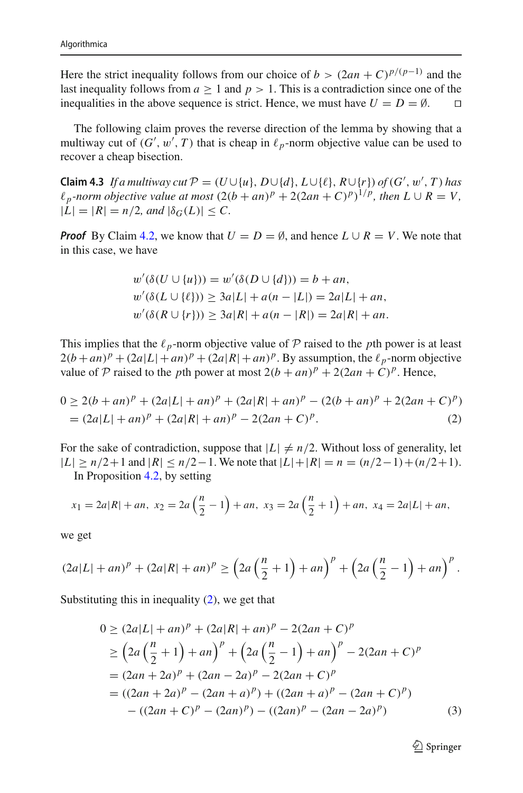Here the strict inequality follows from our choice of *b* >  $(2an + C)^{p/(p-1)}$  and the last inequality follows from  $a \ge 1$  and  $p > 1$ . This is a contradiction since one of the inequalities in the above sequence is strict. Hence, we must have  $U = D = \emptyset$ inequalities in the above sequence is strict. Hence, we must have  $U = D = \emptyset$ .

The following claim proves the reverse direction of the lemma by showing that a multiway cut of  $(G', w', T)$  that is cheap in  $\ell_p$ -norm objective value can be used to recover a cheap bisection.

**Claim 4.3** *If a multiway cut*  $P = (U \cup \{u\}, D \cup \{d\}, L \cup \{\ell\}, R \cup \{r\})$  *of*  $(G', w', T)$  *has*  $\ell_p$ -norm objective value at most  $(2(b + an)^p + 2(2an + C)^p)^{1/p}$ , then  $L \cup R = V$ ,  $|L| = |R| = n/2$ , and  $|\delta_G(L)| \leq C$ .

*Proof* By Claim [4.2,](#page-19-0) we know that  $U = D = \emptyset$ , and hence  $L \cup R = V$ . We note that in this case, we have

<span id="page-20-0"></span>
$$
w'(\delta(U \cup \{u\})) = w'(\delta(D \cup \{d\})) = b + an,
$$
  
\n
$$
w'(\delta(L \cup \{\ell\})) \ge 3a|L| + a(n - |L|) = 2a|L| + an,
$$
  
\n
$$
w'(\delta(R \cup \{r\})) \ge 3a|R| + a(n - |R|) = 2a|R| + an.
$$

This implies that the  $\ell_p$ -norm objective value of  $P$  raised to the *p*th power is at least  $2(b + an)^p + (2a|L| + an)^p + (2a|R| + an)^p$ . By assumption, the  $\ell_p$ -norm objective value of  $P$  raised to the *p*th power at most  $2(b + an)^p + 2(2an + C)^p$ . Hence,

$$
0 \ge 2(b + an)^p + (2a|L| + an)^p + (2a|R| + an)^p - (2(b + an)^p + 2(2an + C)^p)
$$
  
=  $(2a|L| + an)^p + (2a|R| + an)^p - 2(2an + C)^p$ . (2)

For the sake of contradiction, suppose that  $|L| \neq n/2$ . Without loss of generality, let  $|L|$  ≥ *n*/2+1 and  $|R|$  ≤ *n*/2−1. We note that  $|L|+|R| = n = (n/2-1)+(n/2+1)$ . In Proposition [4.2,](#page-17-2) by setting

$$
x_1 = 2a|R| + an
$$
,  $x_2 = 2a\left(\frac{n}{2} - 1\right) + an$ ,  $x_3 = 2a\left(\frac{n}{2} + 1\right) + an$ ,  $x_4 = 2a|L| + an$ ,

we get

$$
(2a|L| + an)^p + (2a|R| + an)^p \ge \left(2a\left(\frac{n}{2} + 1\right) + an\right)^p + \left(2a\left(\frac{n}{2} - 1\right) + an\right)^p.
$$

Substituting this in inequality  $(2)$ , we get that

$$
0 \ge (2a|L| + an)^p + (2a|R| + an)^p - 2(2an + C)^p
$$
  
\n
$$
\ge (2a(\frac{n}{2} + 1) + an)^p + (2a(\frac{n}{2} - 1) + an)^p - 2(2an + C)^p
$$
  
\n
$$
= (2an + 2a)^p + (2an - 2a)^p - 2(2an + C)^p
$$
  
\n
$$
= ((2an + 2a)^p - (2an + a)^p) + ((2an + a)^p - (2an + C)^p)
$$
  
\n
$$
- ((2an + C)^p - (2an)^p) - ((2an)^p - (2an - 2a)^p)
$$
 (3)

<span id="page-20-1"></span> $\mathcal{D}$  Springer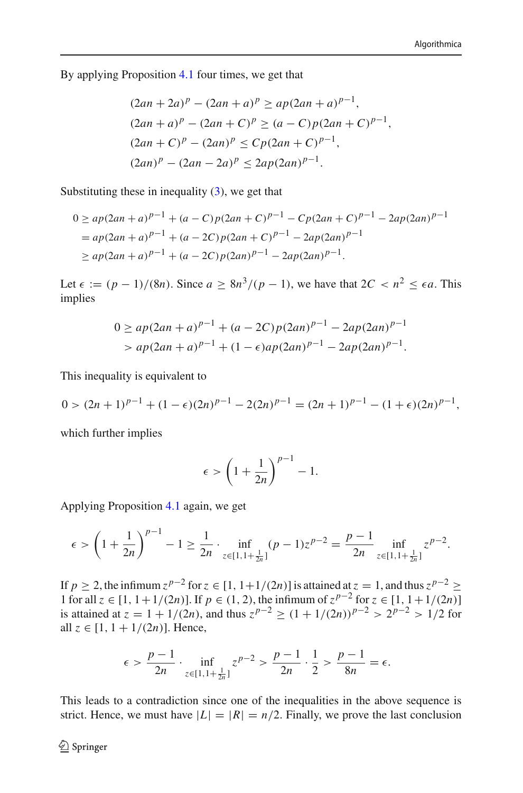By applying Proposition [4.1](#page-17-1) four times, we get that

$$
(2an + 2a)^p - (2an + a)^p \ge ap(2an + a)^{p-1},
$$
  
\n
$$
(2an + a)^p - (2an + C)^p \ge (a - C)p(2an + C)^{p-1},
$$
  
\n
$$
(2an + C)^p - (2an)^p \le Cp(2an + C)^{p-1},
$$
  
\n
$$
(2an)^p - (2an - 2a)^p \le 2ap(2an)^{p-1}.
$$

Substituting these in inequality  $(3)$ , we get that

$$
0 \ge ap(2an + a)^{p-1} + (a - C)p(2an + C)^{p-1} - Cp(2an + C)^{p-1} - 2ap(2an)^{p-1}
$$
  
=  $ap(2an + a)^{p-1} + (a - 2C)p(2an + C)^{p-1} - 2ap(2an)^{p-1}$   
 $\ge ap(2an + a)^{p-1} + (a - 2C)p(2an)^{p-1} - 2ap(2an)^{p-1}.$ 

Let  $\epsilon := (p-1)/(8n)$ . Since  $a \geq 8n^3/(p-1)$ , we have that  $2C < n^2 \leq \epsilon a$ . This implies

$$
0 \ge ap(2an + a)^{p-1} + (a - 2C)p(2an)^{p-1} - 2ap(2an)^{p-1}
$$
  
>  $ap(2an + a)^{p-1} + (1 - \epsilon)ap(2an)^{p-1} - 2ap(2an)^{p-1}$ .

This inequality is equivalent to

$$
0 > (2n+1)^{p-1} + (1 - \epsilon)(2n)^{p-1} - 2(2n)^{p-1} = (2n+1)^{p-1} - (1 + \epsilon)(2n)^{p-1},
$$

which further implies

$$
\epsilon > \left(1 + \frac{1}{2n}\right)^{p-1} - 1.
$$

Applying Proposition [4.1](#page-17-1) again, we get

$$
\epsilon > \left(1 + \frac{1}{2n}\right)^{p-1} - 1 \ge \frac{1}{2n} \cdot \inf_{z \in [1, 1 + \frac{1}{2n}]} (p-1)z^{p-2} = \frac{p-1}{2n} \inf_{z \in [1, 1 + \frac{1}{2n}]} z^{p-2}.
$$

If *p* ≥ 2, the infimum  $z^{p-2}$  for  $z \in [1, 1+1/(2n)]$  is attained at  $z = 1$ , and thus  $z^{p-2}$  ≥ 1 for all *z* ∈ [1, 1+1/(2*n*)]. If *p* ∈ (1, 2), the infimum of  $z^{p-2}$  for  $z \in [1, 1+1/(2n)]$ is attained at  $z = 1 + 1/(2n)$ , and thus  $z^{p-2} \ge (1 + 1/(2n))^{p-2} > 2^{p-2} > 1/2$  for all  $z \in [1, 1 + 1/(2n)]$ . Hence,

$$
\epsilon > \frac{p-1}{2n} \cdot \inf_{z \in [1, 1 + \frac{1}{2n}]} z^{p-2} > \frac{p-1}{2n} \cdot \frac{1}{2} > \frac{p-1}{8n} = \epsilon.
$$

This leads to a contradiction since one of the inequalities in the above sequence is strict. Hence, we must have  $|L| = |R| = n/2$ . Finally, we prove the last conclusion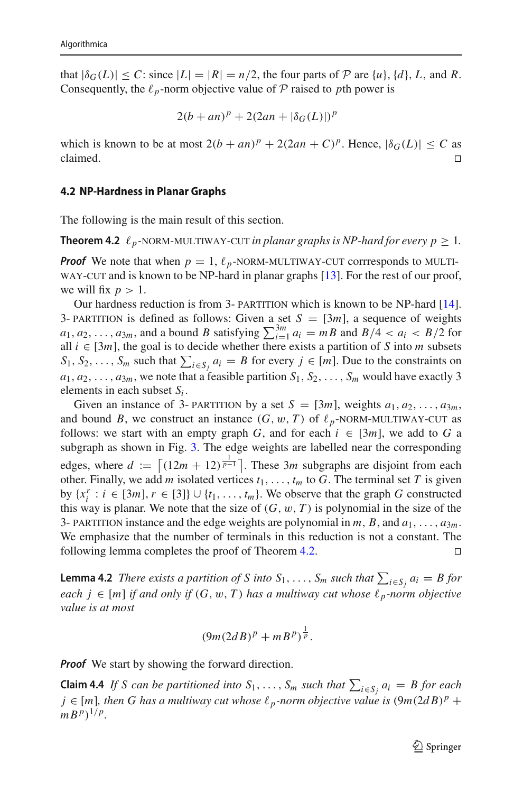that  $|\delta_G(L)| \leq C$ : since  $|L| = |R| = n/2$ , the four parts of  $P$  are  $\{u\}$ ,  $\{d\}$ ,  $L$ , and  $R$ . Consequently, the  $\ell_p$ -norm objective value of  $P$  raised to *p*th power is

$$
2(b+an)^p + 2(2an + |\delta_G(L)|)^p
$$

which is known to be at most  $2(b + an)^p + 2(2an + C)^p$ . Hence,  $|\delta_G(L)| \leq C$  as claimed. claimed.  $\square$ 

#### <span id="page-22-0"></span>**4.2 NP-Hardness in Planar Graphs**

<span id="page-22-1"></span>The following is the main result of this section.

**Theorem 4.2**  $\ell_p$ -NORM-MULTIWAY-CUT *in planar graphs is NP-hard for every*  $p \geq 1$ *.* 

**Proof** We note that when  $p = 1$ ,  $\ell_p$ -NORM-MULTIWAY-CUT corrresponds to MULTIWAY-CUT and is known to be NP-hard in planar graphs [13]. For the rest of our proof WAY-CUT and is known to be NP-hard in planar graphs [\[13\]](#page-34-0). For the rest of our proof, we will fix  $p > 1$ .

Our hardness reduction is from 3- PARTITION which is known to be NP-hard [\[14](#page-34-15)].<br>3- PARTITION is defined as follows: Given a set  $S = [3m]$ , a sequence of weights 3- PARTITION is defined as follows: Given a set  $S = [3m]$ , a sequence of weights  $a_1, a_2, ..., a_{3m}$ , and a bound B satisfying  $\sum_{i=1}^{3m} a_i = mB$  and  $B/4 < a_i < B/2$  for all  $i \in [3m]$ , the goal is to decide whether there exists a partition of *S* into *m* subsets  $S_1, S_2, \ldots, S_m$  such that  $\sum_{i \in S_j} a_i = B$  for every  $j \in [m]$ . Due to the constraints on  $a_1, a_2, \ldots, a_{3m}$ , we note that a feasible partition  $S_1, S_2, \ldots, S_m$  would have exactly 3 elements in each subset *Si* .

Given an instance of 3- PARTITION by a set  $S = [3m]$ , weights  $a_1, a_2, \ldots, a_{3m}$ , and bound *B*, we construct an instance  $(G, w, T)$  of  $\ell_p$ -NORM-MULTIWAY-CUT as follows: we start with an empty graph *G* and for each  $i \in [3m]$  we add to *G* a follows: we start with an empty graph *G*, and for each  $i \in [3m]$ , we add to *G* a subgraph as shown in Fig. [3.](#page-23-0) The edge weights are labelled near the corresponding edges, where  $d := \left[ (12m + 12)^{\frac{1}{p-1}} \right]$ . These 3*m* subgraphs are disjoint from each other. Finally, we add *m* isolated vertices  $t_1, \ldots, t_m$  to *G*. The terminal set *T* is given by  $\{x_i^r : i \in [3m], r \in [3]\} \cup \{t_1, \ldots, t_m\}$ . We observe that the graph *G* constructed this way is planar. We note that the size of  $(G, w, T)$  is polynomial in the size of the 3- PARTITION instance and the edge weights are polynomial in  $m$ ,  $B$ , and  $a_1, \ldots, a_{3m}$ . We emphasize that the number of terminals in this reduction is not a constant. The following lemma completes the proof of Theorem [4.2.](#page-22-1)  $\Box$ 

**Lemma 4.2** *There exists a partition of S into*  $S_1, \ldots, S_m$  *such that*  $\sum_{i \in S_j} a_i = B$  *for each*  $j$  ∈  $[m]$  *if and only if*  $(G, w, T)$  *has a multiway cut whose*  $\ell_p$ -norm objective *value is at most*

$$
(9m(2dB)^p + mB^p)^{\frac{1}{p}}.
$$

*Proof* We start by showing the forward direction.

**Claim 4.4** *If S* can be partitioned into  $S_1, \ldots, S_m$  such that  $\sum_{i \in S_j} a_i = B$  for each  $j \in [m]$ , then G has a multiway cut whose  $\ell_p$ -norm objective value is  $(9m(2dB)^p +$  $m B^{p}$ <sup>1/*p*</sup>.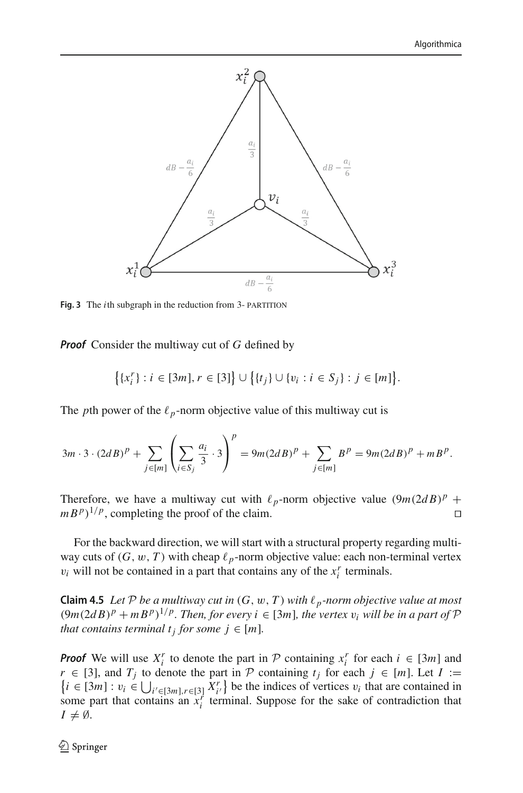

<span id="page-23-0"></span>**Fig. 3** The *i*th subgraph in the reduction from 3- PARTITION

*Proof* Consider the multiway cut of *G* defined by

$$
\big\{\{x_i^r\}: i\in [3m], r\in [3]\big\}\cup \big\{\{t_j\}\cup \{v_i: i\in S_j\}: j\in [m]\big\}.
$$

The *p*th power of the  $\ell_p$ -norm objective value of this multiway cut is

$$
3m \cdot 3 \cdot (2dB)^p + \sum_{j \in [m]} \left( \sum_{i \in S_j} \frac{a_i}{3} \cdot 3 \right)^p = 9m(2dB)^p + \sum_{j \in [m]} B^p = 9m(2dB)^p + mB^p.
$$

Therefore, we have a multiway cut with  $\ell_p$ -norm objective value  $(9m(2dB)^p +$  $m B^p$ <sup>1/*p*</sup>, completing the proof of the claim.

For the backward direction, we will start with a structural property regarding multiway cuts of  $(G, w, T)$  with cheap  $\ell_p$ -norm objective value: each non-terminal vertex  $v_i$  will not be contained in a part that contains any of the  $x_i^r$  terminals.

<span id="page-23-1"></span>**Claim 4.5** *Let*  $P$  *be a multiway cut in*  $(G, w, T)$  *with*  $\ell_p$ -norm objective value at most  $(9m(2dB)^p + mB^p)^{1/p}$ . Then, for every  $i \in [3m]$ , the vertex  $v_i$  will be in a part of  $P$ *that contains terminal t<sub>j</sub> for some*  $j \in [m]$ *.* 

*Proof* We will use  $X_i^r$  to denote the part in *P* containing  $x_i^r$  for each  $i \in [3m]$  and *r* ∈ [3], and *T<sub>j</sub>* to denote the part in *P* containing  $t_j$  for each  $j$  ∈ [*m*]. Let *I* :=  $\{i \in [3m] : v_i \in \bigcup_{i' \in [3m], r \in [3]} X_i^r\}$  be the indices of vertices  $v_i$  that are contained in some part that contains an  $x_i^r$  terminal. Suppose for the sake of contradiction that  $I \neq \emptyset$ .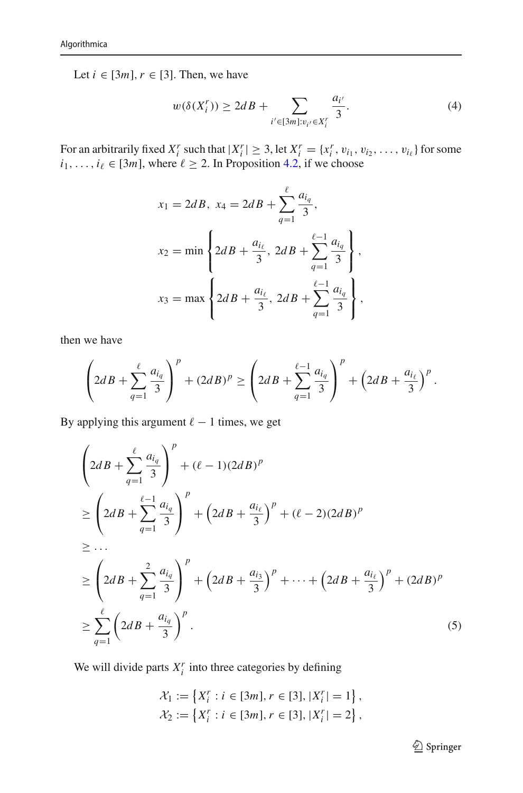Let  $i \in [3m]$ ,  $r \in [3]$ . Then, we have

<span id="page-24-0"></span>
$$
w(\delta(X_i^r)) \ge 2dB + \sum_{i' \in [3m]: v_{i'} \in X_i^r} \frac{a_{i'}}{3}.
$$
 (4)

For an arbitrarily fixed  $X_i^r$  such that  $|X_i^r| \geq 3$ , let  $X_i^r = \{x_i^r, v_{i_1}, v_{i_2}, \dots, v_{i_\ell}\}\$  for some  $i_1, \ldots, i_\ell \in [3m]$ , where  $\ell \geq 2$ . In Proposition [4.2,](#page-17-2) if we choose

$$
x_1 = 2dB, \ x_4 = 2dB + \sum_{q=1}^{\ell} \frac{a_{i_q}}{3},
$$
  

$$
x_2 = \min \left\{ 2dB + \frac{a_{i_{\ell}}}{3}, \ 2dB + \sum_{q=1}^{\ell-1} \frac{a_{i_q}}{3} \right\},
$$
  

$$
x_3 = \max \left\{ 2dB + \frac{a_{i_{\ell}}}{3}, \ 2dB + \sum_{q=1}^{\ell-1} \frac{a_{i_q}}{3} \right\},
$$

then we have

$$
\left(2dB + \sum_{q=1}^{\ell} \frac{a_{i_q}}{3}\right)^p + (2dB)^p \ge \left(2dB + \sum_{q=1}^{\ell-1} \frac{a_{i_q}}{3}\right)^p + \left(2dB + \frac{a_{i_{\ell}}}{3}\right)^p.
$$

By applying this argument  $\ell - 1$  times, we get

$$
\left(2dB + \sum_{q=1}^{\ell} \frac{a_{i_q}}{3}\right)^p + (\ell - 1)(2dB)^p
$$
\n
$$
\geq \left(2dB + \sum_{q=1}^{\ell-1} \frac{a_{i_q}}{3}\right)^p + \left(2dB + \frac{a_{i_{\ell}}}{3}\right)^p + (\ell - 2)(2dB)^p
$$
\n
$$
\geq ...
$$
\n
$$
\geq \left(2dB + \sum_{q=1}^2 \frac{a_{i_q}}{3}\right)^p + \left(2dB + \frac{a_{i_3}}{3}\right)^p + ... + \left(2dB + \frac{a_{i_{\ell}}}{3}\right)^p + (2dB)^p
$$
\n
$$
\geq \sum_{q=1}^{\ell} \left(2dB + \frac{a_{i_q}}{3}\right)^p.
$$
\n(5)

We will divide parts  $X_i^r$  into three categories by defining

$$
\mathcal{X}_1 := \left\{ X_i^r : i \in [3m], r \in [3], |X_i^r| = 1 \right\},
$$
  

$$
\mathcal{X}_2 := \left\{ X_i^r : i \in [3m], r \in [3], |X_i^r| = 2 \right\},
$$

<span id="page-24-1"></span><sup>2</sup> Springer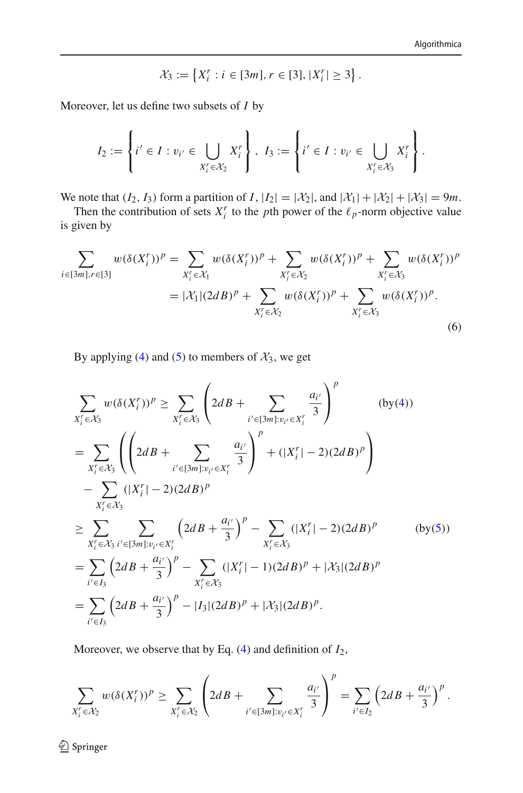<span id="page-25-0"></span>
$$
\mathcal{X}_3 := \left\{ X_i^r : i \in [3m], r \in [3], |X_i^r| \geq 3 \right\}.
$$

Moreover, let us define two subsets of *I* by

$$
I_2 := \left\{ i' \in I : v_{i'} \in \bigcup_{X'_i \in \mathcal{X}_2} X'_i \right\}, \ I_3 := \left\{ i' \in I : v_{i'} \in \bigcup_{X'_i \in \mathcal{X}_3} X'_i \right\}.
$$

We note that  $(I_2, I_3)$  form a partition of  $I$ ,  $|I_2| = |\mathcal{X}_2|$ , and  $|\mathcal{X}_1| + |\mathcal{X}_2| + |\mathcal{X}_3| = 9m$ .

Then the contribution of sets  $X_i^r$  to the *p*th power of the  $\ell_p$ -norm objective value is given by

$$
\sum_{i \in [3m], r \in [3]} w(\delta(X_i^r))^p = \sum_{X_i^r \in \mathcal{X}_1} w(\delta(X_i^r))^p + \sum_{X_i^r \in \mathcal{X}_2} w(\delta(X_i^r))^p + \sum_{X_i^r \in \mathcal{X}_3} w(\delta(X_i^r))^p
$$
  
=  $|\mathcal{X}_1|(2dB)^p + \sum_{X_i^r \in \mathcal{X}_2} w(\delta(X_i^r))^p + \sum_{X_i^r \in \mathcal{X}_3} w(\delta(X_i^r))^p.$  (6)

By applying [\(4\)](#page-24-0) and [\(5\)](#page-24-1) to members of  $\mathcal{X}_3$ , we get

$$
\sum_{X_{i}^{r} \in \mathcal{X}_{3}} w(\delta(X_{i}^{r}))^{p} \geq \sum_{X_{i}^{r} \in \mathcal{X}_{3}} \left( 2dB + \sum_{i' \in [3m]: v_{i'} \in X_{i}^{r}} \frac{a_{i'}}{3} \right)^{p} \qquad (by(4))
$$
\n
$$
= \sum_{X_{i}^{r} \in \mathcal{X}_{3}} \left( \left( 2dB + \sum_{i' \in [3m]: v_{i'} \in X_{i}^{r}} \frac{a_{i'}}{3} \right)^{p} + (|X_{i}^{r}| - 2)(2dB)^{p} \right)
$$
\n
$$
- \sum_{X_{i}^{r} \in \mathcal{X}_{3}} (|X_{i}^{r}| - 2)(2dB)^{p}
$$
\n
$$
\geq \sum_{X_{i}^{r} \in \mathcal{X}_{3}} \sum_{i' \in [3m]: v_{i'} \in X_{i}^{r}} \left( 2dB + \frac{a_{i'}}{3} \right)^{p} - \sum_{X_{i}^{r} \in \mathcal{X}_{3}} (|X_{i}^{r}| - 2)(2dB)^{p} \qquad (by(5))
$$
\n
$$
= \sum_{i' \in I_{3}} \left( 2dB + \frac{a_{i'}}{3} \right)^{p} - \sum_{X_{i}^{r} \in \mathcal{X}_{3}} (|X_{i}^{r}| - 1)(2dB)^{p} + |\mathcal{X}_{3}|(2dB)^{p}
$$
\n
$$
= \sum_{i' \in I_{3}} \left( 2dB + \frac{a_{i'}}{3} \right)^{p} - |I_{3}|(2dB)^{p} + |\mathcal{X}_{3}|(2dB)^{p}.
$$

Moreover, we observe that by Eq. [\(4\)](#page-24-0) and definition of *I*2,

$$
\sum_{X_i^r \in \mathcal{X}_2} w(\delta(X_i^r))^p \ge \sum_{X_i^r \in \mathcal{X}_2} \left( 2dB + \sum_{i' \in [3m]: v_{i'} \in X_i^r} \frac{a_{i'}}{3} \right)^p = \sum_{i' \in I_2} \left( 2dB + \frac{a_{i'}}{3} \right)^p.
$$

<sup>2</sup> Springer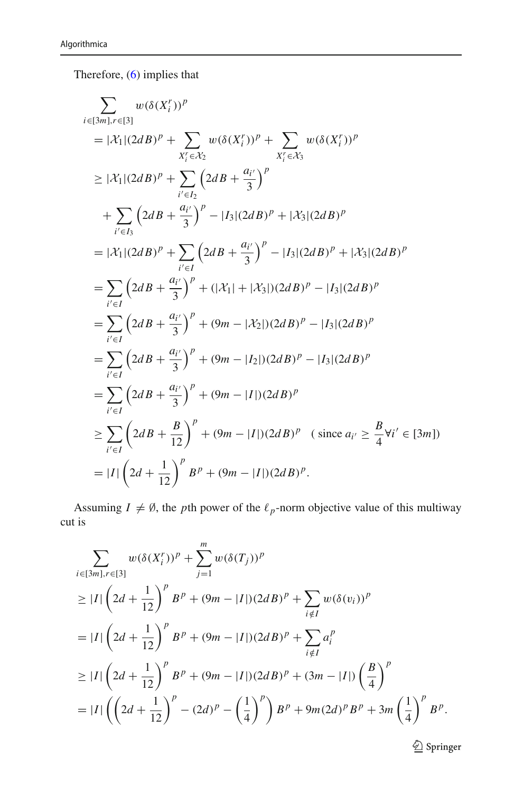Therefore, [\(6\)](#page-25-0) implies that

$$
\sum_{i \in [3m], r \in [3]} w(\delta(X_i^r))^p
$$
\n
$$
= |\mathcal{X}_1|(2dB)^p + \sum_{X_i^r \in \mathcal{X}_2} w(\delta(X_i^r))^p + \sum_{X_i^r \in \mathcal{X}_3} w(\delta(X_i^r))^p
$$
\n
$$
\geq |\mathcal{X}_1|(2dB)^p + \sum_{i' \in I_2} (2dB + \frac{a_{i'}}{3})^p
$$
\n
$$
+ \sum_{i' \in I_3} (2dB + \frac{a_{i'}}{3})^p - |I_3|(2dB)^p + |\mathcal{X}_3|(2dB)^p
$$
\n
$$
= |\mathcal{X}_1|(2dB)^p + \sum_{i' \in I} (2dB + \frac{a_{i'}}{3})^p - |I_3|(2dB)^p + |\mathcal{X}_3|(2dB)^p
$$
\n
$$
= \sum_{i' \in I} (2dB + \frac{a_{i'}}{3})^p + (|\mathcal{X}_1| + |\mathcal{X}_3|)(2dB)^p - |I_3|(2dB)^p
$$
\n
$$
= \sum_{i' \in I} (2dB + \frac{a_{i'}}{3})^p + (9m - |\mathcal{X}_2|)(2dB)^p - |I_3|(2dB)^p
$$
\n
$$
= \sum_{i' \in I} (2dB + \frac{a_{i'}}{3})^p + (9m - |I_2|)(2dB)^p - |I_3|(2dB)^p
$$
\n
$$
= \sum_{i' \in I} (2dB + \frac{a_{i'}}{3})^p + (9m - |I|)(2dB)^p
$$
\n
$$
\geq \sum_{i' \in I} (2dB + \frac{B}{12})^p + (9m - |I|)(2dB)^p \quad (\text{since } a_{i'} \geq \frac{B}{4} \forall i' \in [3m])
$$
\n
$$
= |I| (2d + \frac{1}{12})^p B^p + (9m - |I|)(2dB)^p.
$$

Assuming  $I \neq \emptyset$ , the *p*th power of the  $\ell_p$ -norm objective value of this multiway cut is

$$
\sum_{i \in [3m], r \in [3]} w(\delta(X_i^r))^p + \sum_{j=1}^m w(\delta(T_j))^p
$$
\n
$$
\geq |I| \left(2d + \frac{1}{12}\right)^p B^p + (9m - |I|)(2dB)^p + \sum_{i \notin I} w(\delta(v_i))^p
$$
\n
$$
= |I| \left(2d + \frac{1}{12}\right)^p B^p + (9m - |I|)(2dB)^p + \sum_{i \notin I} a_i^p
$$
\n
$$
\geq |I| \left(2d + \frac{1}{12}\right)^p B^p + (9m - |I|)(2dB)^p + (3m - |I|) \left(\frac{B}{4}\right)^p
$$
\n
$$
= |I| \left(\left(2d + \frac{1}{12}\right)^p - (2d)^p - \left(\frac{1}{4}\right)^p\right) B^p + 9m(2d)^p B^p + 3m \left(\frac{1}{4}\right)^p B^p.
$$

 $\underline{\textcircled{\tiny 2}}$  Springer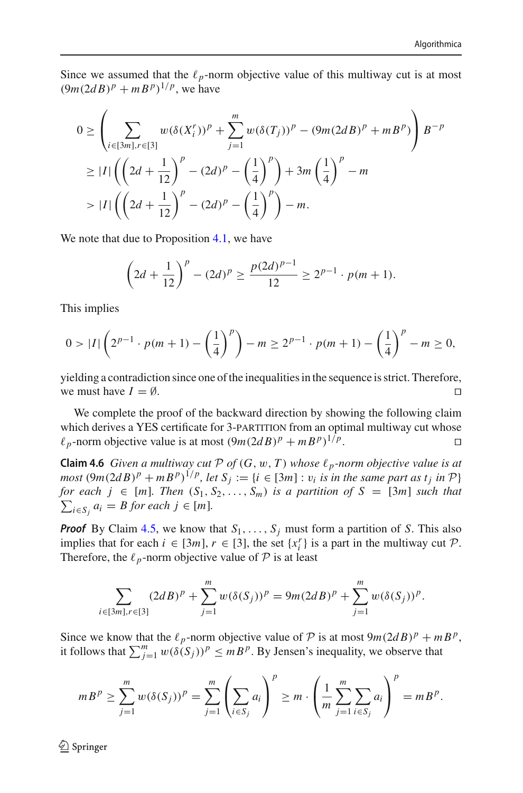Since we assumed that the  $\ell_p$ -norm objective value of this multiway cut is at most  $(9m(2dB)^p + mB^p)^{1/p}$ , we have

$$
0 \ge \left(\sum_{i \in [3m], r \in [3]} w(\delta(X_i^r))^p + \sum_{j=1}^m w(\delta(T_j))^p - (9m(2dB)^p + mB^p)\right) B^{-p}
$$
  
\n
$$
\ge |I| \left(\left(2d + \frac{1}{12}\right)^p - (2d)^p - \left(\frac{1}{4}\right)^p\right) + 3m\left(\frac{1}{4}\right)^p - m
$$
  
\n
$$
> |I| \left(\left(2d + \frac{1}{12}\right)^p - (2d)^p - \left(\frac{1}{4}\right)^p\right) - m.
$$

We note that due to Proposition [4.1,](#page-17-1) we have

$$
\left(2d + \frac{1}{12}\right)^p - (2d)^p \ge \frac{p(2d)^{p-1}}{12} \ge 2^{p-1} \cdot p(m+1).
$$

This implies

$$
0 > |I| \left( 2^{p-1} \cdot p(m+1) - \left(\frac{1}{4}\right)^p \right) - m \ge 2^{p-1} \cdot p(m+1) - \left(\frac{1}{4}\right)^p - m \ge 0,
$$

yielding a contradiction since one of the inequalities in the sequence is strict. Therefore, we must have  $I = \emptyset$ .

We complete the proof of the backward direction by showing the following claim which derives a YES certificate for 3-PARTITION from an optimal multiway cut whose  $\ell_p$ -norm objective value is at most  $(9m(2dB)^p + mB^p)^{1/p}$ .  $\ell_p$ -norm objective value is at most  $(9m(2dB)^p + mB^p)^{1/p}$ .

**Claim 4.6** *Given a multiway cut*  $P$  *of*  $(G, w, T)$  *whose*  $\ell_p$ *-norm objective value is at most*  $(9m(2dB)^p + mB^p)^{1/p}$ , let  $S_i := \{i \in [3m] : v_i$  *is in the same part as t<sub>i</sub> in*  $P\}$  $\sum_{i \in S_j} a_i = B$  for each  $j \in [m]$ . *for each*  $j \in [m]$ *. Then*  $(S_1, S_2, \ldots, S_m)$  *is a partition of*  $S = [3m]$  *such that* 

*Proof* By Claim [4.5,](#page-23-1) we know that  $S_1, \ldots, S_j$  must form a partition of *S*. This also implies that for each  $i \in [3m]$ ,  $r \in [3]$ , the set  $\{x_i^r\}$  is a part in the multiway cut *P*. Therefore, the  $\ell_p$ -norm objective value of  $P$  is at least

$$
\sum_{i \in [3m], r \in [3]} (2dB)^p + \sum_{j=1}^m w(\delta(S_j))^p = 9m(2dB)^p + \sum_{j=1}^m w(\delta(S_j))^p.
$$

Since we know that the  $\ell_p$ -norm objective value of  $P$  is at most  $9m(2dB)^p + mB^p$ , it follows that  $\sum_{j=1}^{m} w(\delta(S_j))^p \le mB^p$ . By Jensen's inequality, we observe that

$$
mBp \ge \sum_{j=1}^m w(\delta(S_j))^p = \sum_{j=1}^m \left(\sum_{i \in S_j} a_i\right)^p \ge m \cdot \left(\frac{1}{m} \sum_{j=1}^m \sum_{i \in S_j} a_i\right)^p = mB^p.
$$

 $\bigcircled{2}$  Springer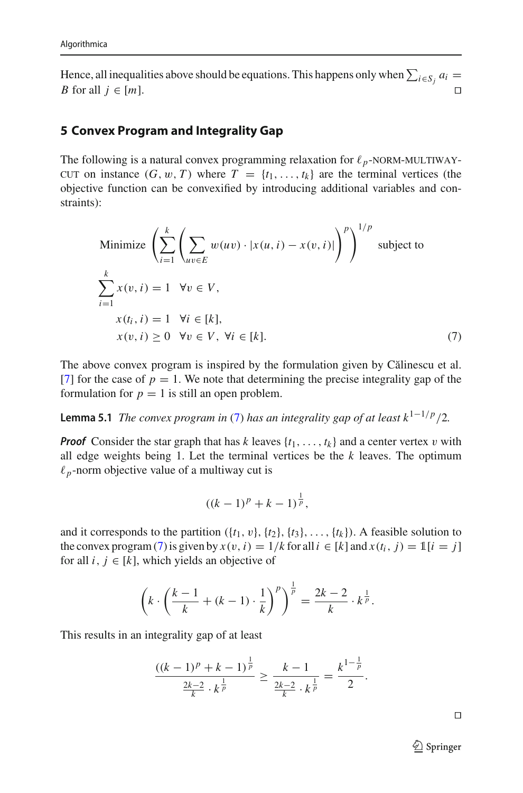Hence, all inequalities above should be equations. This happens only when  $\sum_{i \in S_j} a_i =$ *B* for all  $j \in [m]$ .

### <span id="page-28-0"></span>**5 Convex Program and Integrality Gap**

The following is a natural convex programming relaxation for  $\ell_p$ -NORM-MULTIWAY-<br>CUT on instance  $(G, w, T)$  where  $T = \{t_1, t_2\}$  are the terminal vertices (the cut on instance  $(G, w, T)$  where  $T = \{t_1, \ldots, t_k\}$  are the terminal vertices (the objective function can be convexified by introducing additional variables and constraints):

Minimize 
$$
\left(\sum_{i=1}^{k} \left(\sum_{uv \in E} w(uv) \cdot |x(u, i) - x(v, i)|\right)^p\right)^{1/p}
$$
 subject to  
\n
$$
\sum_{i=1}^{k} x(v, i) = 1 \quad \forall v \in V,
$$
\n
$$
x(t_i, i) = 1 \quad \forall i \in [k],
$$
\n
$$
x(v, i) \ge 0 \quad \forall v \in V, \forall i \in [k].
$$
\n(7)

The above convex program is inspired by the formulation given by Călinescu et al. [\[7](#page-34-2)] for the case of  $p = 1$ . We note that determining the precise integrality gap of the formulation for  $p = 1$  is still an open problem.

**Lemma 5.1** *The convex program in* [\(7\)](#page-28-1) *has an integrality gap of at least*  $k^{1-1/p}/2$ *.* 

*Proof* Consider the star graph that has *k* leaves  $\{t_1, \ldots, t_k\}$  and a center vertex v with all edge weights being 1. Let the terminal vertices be the *k* leaves. The optimum  $\ell_p$ -norm objective value of a multiway cut is

<span id="page-28-1"></span>
$$
((k-1)^p + k - 1)^{\frac{1}{p}},
$$

and it corresponds to the partition  $({t_1, v}, {t_2}, {t_3}, \ldots, {t_k})$ . A feasible solution to the convex program [\(7\)](#page-28-1) is given by  $x(v, i) = 1/k$  for all  $i \in [k]$  and  $x(t_i, j) = 1[i = j]$ for all  $i, j \in [k]$ , which yields an objective of

$$
\left(k \cdot \left(\frac{k-1}{k} + (k-1) \cdot \frac{1}{k}\right)^p\right)^{\frac{1}{p}} = \frac{2k-2}{k} \cdot k^{\frac{1}{p}}.
$$

This results in an integrality gap of at least

$$
\frac{((k-1)^p + k - 1)^{\frac{1}{p}}}{\frac{2k-2}{k} \cdot k^{\frac{1}{p}}} \ge \frac{k-1}{\frac{2k-2}{k} \cdot k^{\frac{1}{p}}} = \frac{k^{1-\frac{1}{p}}}{2}.
$$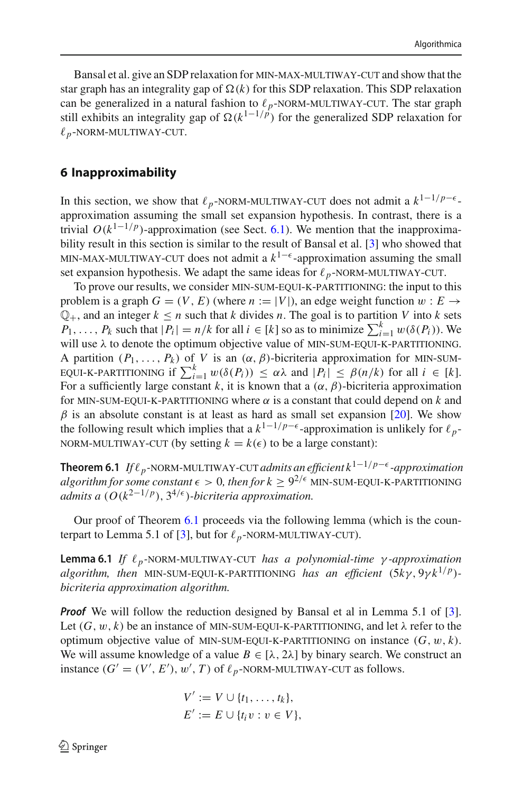Bansal et al. give an SDP relaxation for min-max-multiway-cut and show that the star graph has an integrality gap of  $\Omega(k)$  for this SDP relaxation. This SDP relaxation can be generalized in a natural fashion to  $\ell_p$ -NORM-MULTIWAY-CUT. The star graph<br>still exhibits an integrality gap of  $\Omega(k^{1-1/p})$  for the generalized SDP relaxation for still exhibits an integrality gap of  $\Omega(k^{1-1/p})$  for the generalized SDP relaxation for  $\ell_p$ -NORM-MULTIWAY-CUT.

# <span id="page-29-0"></span>**6 Inapproximability**

In this section, we show that  $\ell_p$ -NORM-MULTIWAY-CUT does not admit a  $k^{1-1/p-\epsilon}$ -<br>approximation assuming the small set expansion bypothesis. In contrast, there is a approximation assuming the small set expansion hypothesis. In contrast, there is a trivial  $O(k^{1-1/p})$ -approximation (see Sect. [6.1\)](#page-32-0). We mention that the inapproximability result in this section is similar to the result of Bansal et al. [\[3](#page-33-2)] who showed that MIN-MAX-MULTIWAY-CUT does not admit a  $k^{1-\epsilon}$ -approximation assuming the small set expansion hypothesis. We adapt the same ideas for  $\ell_p$ -NORM-MULTIWAY-CUT.<br>To prove our results, we consider MIN-SUM-FOUL K-PARTITIONING: the input to t

To prove our results, we consider min-sum-equi-k-partitioning: the input to this problem is a graph  $G = (V, E)$  (where  $n := |V|$ ), an edge weight function  $w : E \rightarrow$  $\mathbb{Q}_+$ , and an integer  $k \leq n$  such that *k* divides *n*. The goal is to partition *V* into *k* sets  $P_1, \ldots, P_k$  such that  $|P_i| = n/k$  for all  $i \in [k]$  so as to minimize  $\sum_{i=1}^{k} w(\delta(P_i))$ . We will use  $\lambda$  to denote the optimum objective value of MIN-SUM-EQUI-K-PARTITIONING.<br>A partition  $(P_1, \ldots, P_k)$  of V is an  $(\alpha, \beta)$ -bicriteria approximation for MIN-SUM-A partition  $(P_1, \ldots, P_k)$  of *V* is an  $(\alpha, \beta)$ -bicriteria approximation for MIN-SUM-<br>FOUL-K-PARTITIONING if  $\sum_{k=1}^{k} \mu(\delta(P_i)) \leq \alpha \lambda$  and  $|P_i| \leq \beta(n/k)$  for all  $i \in [k]$ EQUI-K-PARTITIONING if  $\sum_{i=1}^{k} w(\delta(P_i)) \leq \alpha \lambda$  and  $|P_i| \leq \beta(n/k)$  for all  $i \in [k]$ .<br>For a sufficiently large constant k it is known that a  $(\alpha, \beta)$ -bicriteria approximation For a sufficiently large constant k, it is known that a  $(\alpha, \beta)$ -bicriteria approximation for MIN-SUM-EQUI-K-PARTITIONING where  $\alpha$  is a constant that could depend on  $k$  and  $\beta$  is an absolute constant is at least as hard as small set expansion [\[20](#page-34-8)]. We show the following result which implies that a  $k^{1-1/p-\epsilon}$ -approximation is unlikely for  $\ell_p$ -NORM-MULTIWAY-CUT (by setting  $k = k(\epsilon)$  to be a large constant):

<span id="page-29-1"></span>**Theorem 6.1** *If*  $\ell_p$ -NORM-MULTIWAY-CUT *admits an efficient*  $k^{1-1/p-\epsilon}$ -approximation algorithm for some constant  $\epsilon > 0$ , then for  $k > 9^{2/\epsilon}$  MIN-SUM-FOULK-PARTITIONING *algorithm for some constant*  $\epsilon > 0$ , then for  $k > 9^{2/\epsilon}$  MIN-SUM-EQUI-K-PARTITIONING *admits a*  $(O(k^{2-1/p}), 3^{4/\epsilon})$ *-bicriteria approximation.* 

<span id="page-29-2"></span>Our proof of Theorem [6.1](#page-29-1) proceeds via the following lemma (which is the coun-terpart to Lemma 5.1 of [\[3](#page-33-2)], but for  $\ell_p$ -NORM-MULTIWAY-CUT).

**Lemma 6.1** *If*  $\ell_p$ -NORM-MULTIWAY-CUT *has a polynomial-time γ-approximation*<br>algorithm then MIN-SUM-FOULK-PARTITIONING has an efficient (5ky 9yk<sup>1</sup>/P)*algorithm, then* MIN-SUM-EQUI-K-PARTITIONING *has an efficient* (5 $k\gamma$ , 9 $\gamma k^{1/p}$ )*bicriteria approximation algorithm.*

*Proof* We will follow the reduction designed by Bansal et al in Lemma 5.1 of [\[3](#page-33-2)]. Let  $(G, w, k)$  be an instance of MIN-SUM-EQUI-K-PARTITIONING, and let  $\lambda$  refer to the optimum objective value of MIN-SUM-EQUI-K-PARTITIONING on instance  $(G, w, k)$ . We will assume knowledge of a value  $B \in [\lambda, 2\lambda]$  by binary search. We construct an instance  $(G' = (V', E'), w', T)$  of  $\ell_p$ -NORM-MULTIWAY-CUT as follows.

$$
V' := V \cup \{t_1, \ldots, t_k\},
$$
  

$$
E' := E \cup \{t_i v : v \in V\},
$$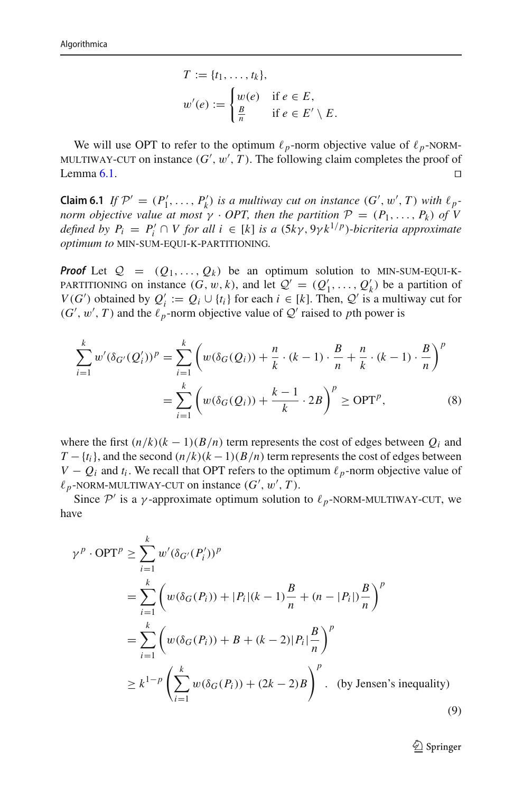$$
T := \{t_1, \dots, t_k\},
$$
  

$$
w'(e) := \begin{cases} w(e) & \text{if } e \in E, \\ \frac{B}{n} & \text{if } e \in E' \setminus E. \end{cases}
$$

We will use OPT to refer to the optimum  $\ell_p$ -norm objective value of  $\ell_p$ -NORM-<br>*II* TIWAY-CUT on instance  $(G', w', T)$  The following claim completes the proof of MULTIWAY-CUT on instance  $(G', w', T)$ . The following claim completes the proof of  $\Box$ Lemma [6.1.](#page-29-2)  $\Box$ 

**Claim 6.1** *If*  $\mathcal{P}' = (P'_1, \ldots, P'_k)$  *is a multiway cut on instance*  $(G', w', T)$  *with*  $\ell_p$ *norm objective value at most*  $\gamma \cdot OPT$ , then the partition  $\mathcal{P} = (P_1, \ldots, P_k)$  of V *defined by*  $P_i = P'_i \cap V$  *for all*  $i \in [k]$  *is a* (5*k* $\gamma$ , 9 $\gamma$ *k*<sup>1/*p*</sup>)*-bicriteria approximate optimum to* min*-*sum*-*equi*-*k*-*partitioning*.*

*Proof* Let  $Q = (Q_1, \ldots, Q_k)$  be an optimum solution to MIN-SUM-EQUI-K-PARTITIONING on instance  $(G, w, k)$ , and let  $Q' = (Q'_1, \ldots, Q'_k)$  be a partition of  $V(G')$  obtained by  $Q' := Q \cup \{t\}$  for each  $i \in [k]$ . Then  $Q'$  is a multiway cut for *V*(*G*<sup>'</sup>) obtained by  $Q'_i := Q_i \cup \{t_i\}$  for each  $i \in [k]$ . Then,  $Q'$  is a multiway cut for  $(G', w', T)$  and the  $\ell_p$ -norm objective value of  $Q'$  raised to *p*th power is

$$
\sum_{i=1}^{k} w' (\delta_{G'}(Q'_i))^p = \sum_{i=1}^{k} \left( w(\delta_G(Q_i)) + \frac{n}{k} \cdot (k-1) \cdot \frac{B}{n} + \frac{n}{k} \cdot (k-1) \cdot \frac{B}{n} \right)^p
$$
  
= 
$$
\sum_{i=1}^{k} \left( w(\delta_G(Q_i)) + \frac{k-1}{k} \cdot 2B \right)^p \ge \text{OPT}^p,
$$
 (8)

where the first  $(n/k)(k-1)(B/n)$  term represents the cost of edges between  $Q_i$  and  $T - \{t_i\}$ , and the second  $\left(\frac{n}{k}\right)(k-1)(B/n)$  term represents the cost of edges between *V* −  $Q_i$  and  $t_i$ . We recall that OPT refers to the optimum  $\ell_p$ -norm objective value of  $\ell_p$ -NORM-MULTIWAY-CUT on instance  $(G', w', T)$ .<br>Since  $\mathcal{P}'$  is a v-approximate optimum solution

Since  $P'$  is a *γ*-approximate optimum solution to  $\ell_p$ -NORM-MULTIWAY-CUT, we have

$$
\gamma^{p} \cdot \text{OPT}^{p} \geq \sum_{i=1}^{k} w' (\delta_{G'}(P'_{i}))^{p}
$$
  
= 
$$
\sum_{i=1}^{k} \left( w(\delta_{G}(P_{i})) + |P_{i}|(k-1)\frac{B}{n} + (n-|P_{i}|)\frac{B}{n} \right)^{p}
$$
  
= 
$$
\sum_{i=1}^{k} \left( w(\delta_{G}(P_{i})) + B + (k-2)|P_{i}| \frac{B}{n} \right)^{p}
$$
  

$$
\geq k^{1-p} \left( \sum_{i=1}^{k} w(\delta_{G}(P_{i})) + (2k-2)B \right)^{p}.
$$
 (by Jensen's inequality) (9)

<span id="page-30-1"></span><span id="page-30-0"></span> $\mathcal{D}$  Springer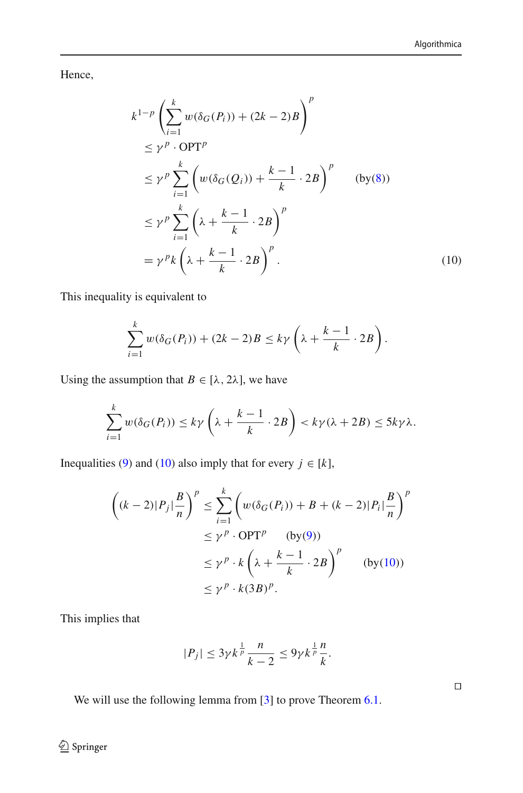Hence,

$$
k^{1-p} \left( \sum_{i=1}^{k} w(\delta_G(P_i)) + (2k - 2)B \right)^p
$$
  
\n
$$
\leq \gamma^p \cdot \text{OPT}^p
$$
  
\n
$$
\leq \gamma^p \sum_{i=1}^{k} \left( w(\delta_G(Q_i)) + \frac{k-1}{k} \cdot 2B \right)^p \qquad \text{(by (8))}
$$
  
\n
$$
\leq \gamma^p \sum_{i=1}^{k} \left( \lambda + \frac{k-1}{k} \cdot 2B \right)^p
$$
  
\n
$$
= \gamma^p k \left( \lambda + \frac{k-1}{k} \cdot 2B \right)^p.
$$
 (10)

This inequality is equivalent to

<span id="page-31-0"></span>
$$
\sum_{i=1}^k w(\delta_G(P_i)) + (2k-2)B \le k\gamma \left(\lambda + \frac{k-1}{k} \cdot 2B\right).
$$

Using the assumption that  $B \in [\lambda, 2\lambda]$ , we have

$$
\sum_{i=1}^k w(\delta_G(P_i)) \le k\gamma \left(\lambda + \frac{k-1}{k} \cdot 2B\right) < k\gamma(\lambda + 2B) \le 5k\gamma\lambda.
$$

Inequalities [\(9\)](#page-30-1) and [\(10\)](#page-31-0) also imply that for every  $j \in [k]$ ,

$$
\left( (k-2)|P_j| \frac{B}{n} \right)^p \le \sum_{i=1}^k \left( w(\delta_G(P_i)) + B + (k-2)|P_i| \frac{B}{n} \right)^p
$$
  
\n
$$
\le \gamma^p \cdot \text{OPT}^p \qquad \text{(by (9))}
$$
  
\n
$$
\le \gamma^p \cdot k \left( \lambda + \frac{k-1}{k} \cdot 2B \right)^p \qquad \text{(by (10))}
$$
  
\n
$$
\le \gamma^p \cdot k(3B)^p.
$$

This implies that

$$
|P_j| \le 3\gamma k^{\frac{1}{p}} \frac{n}{k-2} \le 9\gamma k^{\frac{1}{p}} \frac{n}{k}.
$$

<span id="page-31-1"></span>We will use the following lemma from [\[3\]](#page-33-2) to prove Theorem [6.1.](#page-29-1)

<sup>2</sup> Springer

 $\Box$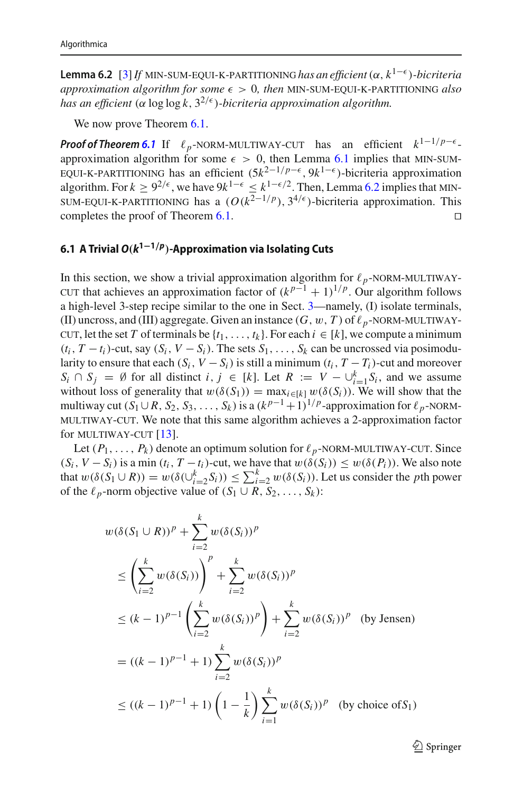**Lemma 6.2** [\[3\]](#page-33-2) If MIN-SUM-EQUI-K-PARTITIONING has an efficient  $(\alpha, k^{1-\epsilon})$ -bicriteria *approximation algorithm for some*  $\epsilon > 0$ , then MIN-SUM-EQUI-K-PARTITIONING also *has an efficient* ( $\alpha$  log log *k*,  $3^{2/\epsilon}$ )*-bicriteria approximation algorithm.* 

We now prove Theorem [6.1.](#page-29-1)

**Proof of Theorem [6.1](#page-29-1)** If  $\ell_p$ -NORM-MULTIWAY-CUT has an efficient  $k^{1-1/p-\epsilon}$ -<br>approximation algorithm for some  $\epsilon > 0$  then Lemma 6.1 implies that MIN-SUMapproximation algorithm for some  $\epsilon > 0$ , then Lemma [6.1](#page-29-2) implies that MIN-SUM-<br>FOUL-K-PARTITIONING has an efficient  $(5k^{2-1/p-\epsilon}, 9k^{1-\epsilon})$ -bicriteria approximation EQUI-K-PARTITIONING has an efficient  $(5k^{2-1/p-\epsilon}, 9k^{1-\epsilon})$ -bicriteria approximation<br>algorithm For  $k > 9^{2/\epsilon}$  we have  $9k^{1-\epsilon} \le k^{1-\epsilon/2}$  Then Lemma 6.2 implies that MINalgorithm. For  $k \ge 9^{2/\epsilon}$ , we have  $9k^{1-\epsilon} \le k^{1-\epsilon/2}$ . Then, Lemma [6.2](#page-31-1) implies that MIN-SUM-EQUI-K-PARTITIONING has a ( $O(k^{2-1/p})$ , 3<sup>4/ $\epsilon$ </sup>)-bicriteria approximation. This completes the proof of Theorem 6.1 completes the proof of Theorem [6.1.](#page-29-1)

#### <span id="page-32-0"></span>**6.1 A Trivial** *O(k***1−1***/p)***-Approximation via Isolating Cuts**

In this section, we show a trivial approximation algorithm for  $\ell_p$ -NORM-MULTIWAY-<br>CUT that achieves an approximation factor of  $(k^{p-1} + 1)^{1/p}$ . Our algorithm follows cut that achieves an approximation factor of  $(k^{p-1} + 1)^{1/p}$ . Our algorithm follows a high-level 3-step recipe similar to the one in Sect. [3—](#page-9-0)namely, (I) isolate terminals, (II) uncross, and (III) aggregate. Given an instance  $(G, w, T)$  of  $\ell_p$ -NORM-MULTIWAY-<br>CUT let the set T of terminals be  $\{t_1, \ldots, t_k\}$ . For each  $i \in [k]$  we compute a minimum cut, let the set *T* of terminals be  $\{t_1, \ldots, t_k\}$ . For each  $i \in [k]$ , we compute a minimum  $(t_i, T - t_i)$ -cut, say  $(S_i, V - S_i)$ . The sets  $S_1, \ldots, S_k$  can be uncrossed via posimodularity to ensure that each  $(S_i, V - S_i)$  is still a minimum  $(t_i, T - T_i)$ -cut and moreover *S<sub>i</sub>* ∩ *S<sub>j</sub>* = ∅ for all distinct *i*, *j* ∈ [*k*]. Let *R* := *V* − ∪<sup>*k*</sup><sub>i=1</sub> *S<sub>i</sub>*, and we assume without loss of generality that  $w(\delta(S_1)) = \max_{i \in [k]} w(\delta(S_i))$ . We will show that the multiway cut  $(S_1 \cup R, S_2, S_3, \ldots, S_k)$  is a  $(k^{p-1}+1)^{1/p}$ -approximation for  $\ell_p$ -NORM-<br>MULTIWAY-CUT. We note that this same algorithm achieves a 2-approximation factor multiway-cut. We note that this same algorithm achieves a 2-approximation factor for MULTIWAY-CUT  $[13]$  $[13]$ .

Let  $(P_1, \ldots, P_k)$  denote an optimum solution for  $\ell_p$ -NORM-MULTIWAY-CUT. Since  $V = S_1$  is a min  $(t, T - t_1)$ -cut, we have that  $w(\delta(S_1)) \leq w(\delta(P_1))$ . We also note  $(S_i, V - S_i)$  is a min  $(t_i, T - t_i)$ -cut, we have that  $w(\delta(S_i)) \leq w(\delta(P_i))$ . We also note that  $w(\delta(S_1 \cup R)) = w(\delta(\bigcup_{i=2}^k S_i)) \le \sum_{i=2}^k w(\delta(S_i))$ . Let us consider the *p*th power of the  $\ell_p$ -norm objective value of  $(S_1 \cup R, S_2, \ldots, S_k)$ :

$$
w(\delta(S_1 \cup R))^p + \sum_{i=2}^k w(\delta(S_i))^p
$$
  
\n
$$
\leq \left(\sum_{i=2}^k w(\delta(S_i))\right)^p + \sum_{i=2}^k w(\delta(S_i))^p
$$
  
\n
$$
\leq (k-1)^{p-1} \left(\sum_{i=2}^k w(\delta(S_i))^p\right) + \sum_{i=2}^k w(\delta(S_i))^p \text{ (by Jensen)}
$$
  
\n
$$
= ((k-1)^{p-1} + 1) \sum_{i=2}^k w(\delta(S_i))^p
$$
  
\n
$$
\leq ((k-1)^{p-1} + 1) \left(1 - \frac{1}{k}\right) \sum_{i=1}^k w(\delta(S_i))^p \text{ (by choice of } S_1)
$$

 $\mathcal{D}$  Springer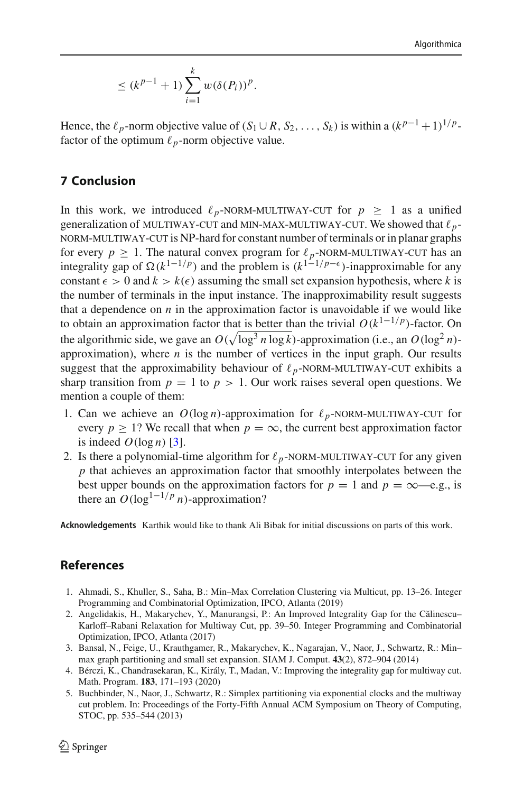$$
\leq (k^{p-1} + 1) \sum_{i=1}^{k} w(\delta(P_i))^p.
$$

Hence, the  $\ell_p$ -norm objective value of (*S*<sub>1</sub> ∪ *R*, *S*<sub>2</sub>, ..., *S*<sub>k</sub>) is within a  $(k^{p-1} + 1)^{1/p}$ factor of the optimum  $\ell_p$ -norm objective value.

## <span id="page-33-4"></span>**7 Conclusion**

In this work, we introduced  $\ell_p$ -NORM-MULTIWAY-CUT for  $p \ge 1$  as a unified<br>generalization of MULTIWAY-CUT and MIN-MAX-MULTIWAY-CUT We showed that  $\ell$ . generalization of MULTIWAY-CUT and MIN-MAX-MULTIWAY-CUT. We showed that  $\ell_p$ -<br>NORM-MULTIWAY-CUT is NP-hard for constant number of terminals or in planar graphs norm-multiway-cut is NP-hard for constant number of terminals or in planar graphs for every  $p \ge 1$ . The natural convex program for  $\ell_p$ -NORM-MULTIWAY-CUT has an for every *p* ≥ 1. The natural convex program for  $\ell_p$ -NORM-MULTIWAY-CUT has an integrality gap of Ω( $k^{1-1/p}$ ) and the problem is ( $k^{1-1/p-ε}$ )-inapproximable for any constant  $\epsilon > 0$  and  $k > k(\epsilon)$  assuming the small set expansion hypothesis, where k is the number of terminals in the input instance. The inapproximability result suggests that a dependence on  $n$  in the approximation factor is unavoidable if we would like to obtain an approximation factor that is better than the trivial  $O(k^{1-1/p})$ -factor. On the algorithmic side, we gave an  $O(\sqrt{\log^3 n \log k})$ -approximation (i.e., an  $O(\log^2 n)$ approximation), where  $n$  is the number of vertices in the input graph. Our results suggest that the approximability behaviour of  $\ell_p$ -NORM-MULTIWAY-CUT exhibits a<br>sharp transition from  $n-1$  to  $n > 1$ . Our work raises several open questions. We sharp transition from  $p = 1$  to  $p > 1$ . Our work raises several open questions. We mention a couple of them:

- 1. Can we achieve an  $O(\log n)$ -approximation for  $\ell_p$ -NORM-MULTIWAY-CUT for every  $n > 1$ ? We recall that when  $n = \infty$  the current best approximation factor every  $p > 1$ ? We recall that when  $p = \infty$ , the current best approximation factor is indeed  $O(\log n)$  [\[3](#page-33-2)].
- 2. Is there a polynomial-time algorithm for  $\ell_p$ -NORM-MULTIWAY-CUT for any given *n* that achieves an annoximation factor that smoothly internalates between the *p* that achieves an approximation factor that smoothly interpolates between the best upper bounds on the approximation factors for  $p = 1$  and  $p = \infty$ —e.g., is there an  $O(log^{1-1/p} n)$ -approximation?

**Acknowledgements** Karthik would like to thank Ali Bibak for initial discussions on parts of this work.

### **References**

- <span id="page-33-3"></span>1. Ahmadi, S., Khuller, S., Saha, B.: Min–Max Correlation Clustering via Multicut, pp. 13–26. Integer Programming and Combinatorial Optimization, IPCO, Atlanta (2019)
- <span id="page-33-0"></span>2. Angelidakis, H., Makarychev, Y., Manurangsi, P.: An Improved Integrality Gap for the Călinescu– Karloff–Rabani Relaxation for Multiway Cut, pp. 39–50. Integer Programming and Combinatorial Optimization, IPCO, Atlanta (2017)
- <span id="page-33-2"></span>3. Bansal, N., Feige, U., Krauthgamer, R., Makarychev, K., Nagarajan, V., Naor, J., Schwartz, R.: Min– max graph partitioning and small set expansion. SIAM J. Comput. **43**(2), 872–904 (2014)
- <span id="page-33-1"></span>4. Bérczi, K., Chandrasekaran, K., Király, T., Madan, V.: Improving the integrality gap for multiway cut. Math. Program. **183**, 171–193 (2020)
- 5. Buchbinder, N., Naor, J., Schwartz, R.: Simplex partitioning via exponential clocks and the multiway cut problem. In: Proceedings of the Forty-Fifth Annual ACM Symposium on Theory of Computing, STOC, pp. 535–544 (2013)